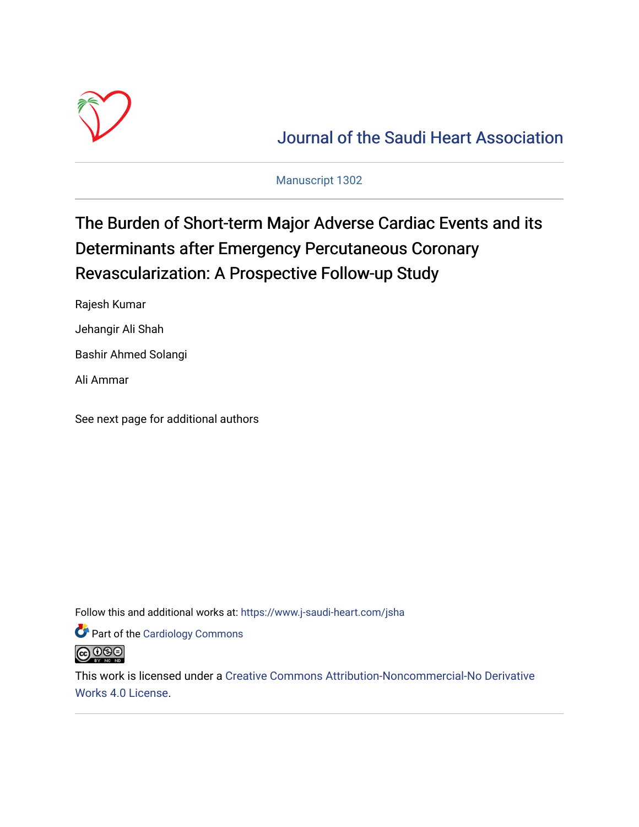

[Journal of the Saudi Heart Association](https://www.j-saudi-heart.com/jsha) 

Manuscript 1302

## The Burden of Short-term Major Adverse Cardiac Events and its Determinants after Emergency Percutaneous Coronary Revascularization: A Prospective Follow-up Study

Rajesh Kumar

Jehangir Ali Shah

Bashir Ahmed Solangi

Ali Ammar

See next page for additional authors

Follow this and additional works at: [https://www.j-saudi-heart.com/jsha](https://www.j-saudi-heart.com/jsha?utm_source=www.j-saudi-heart.com%2Fjsha%2Fvol34%2Fiss2%2F4&utm_medium=PDF&utm_campaign=PDFCoverPages) 

Part of the [Cardiology Commons](https://network.bepress.com/hgg/discipline/683?utm_source=www.j-saudi-heart.com%2Fjsha%2Fvol34%2Fiss2%2F4&utm_medium=PDF&utm_campaign=PDFCoverPages)



This work is licensed under a [Creative Commons Attribution-Noncommercial-No Derivative](http://creativecommons.org/licenses/by-nc-nd/4.0/)  [Works 4.0 License](http://creativecommons.org/licenses/by-nc-nd/4.0/).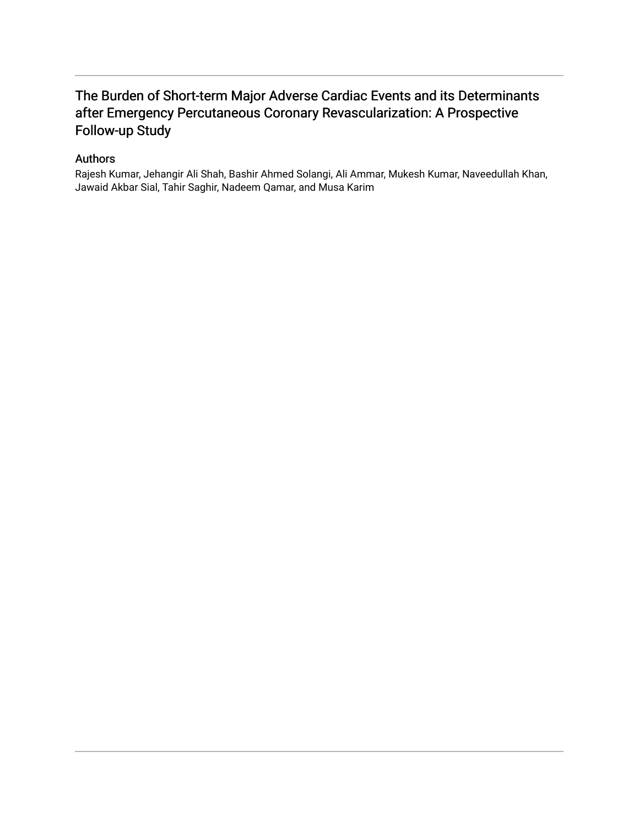### The Burden of Short-term Major Adverse Cardiac Events and its Determinants after Emergency Percutaneous Coronary Revascularization: A Prospective Follow-up Study

### Authors

Rajesh Kumar, Jehangir Ali Shah, Bashir Ahmed Solangi, Ali Ammar, Mukesh Kumar, Naveedullah Khan, Jawaid Akbar Sial, Tahir Saghir, Nadeem Qamar, and Musa Karim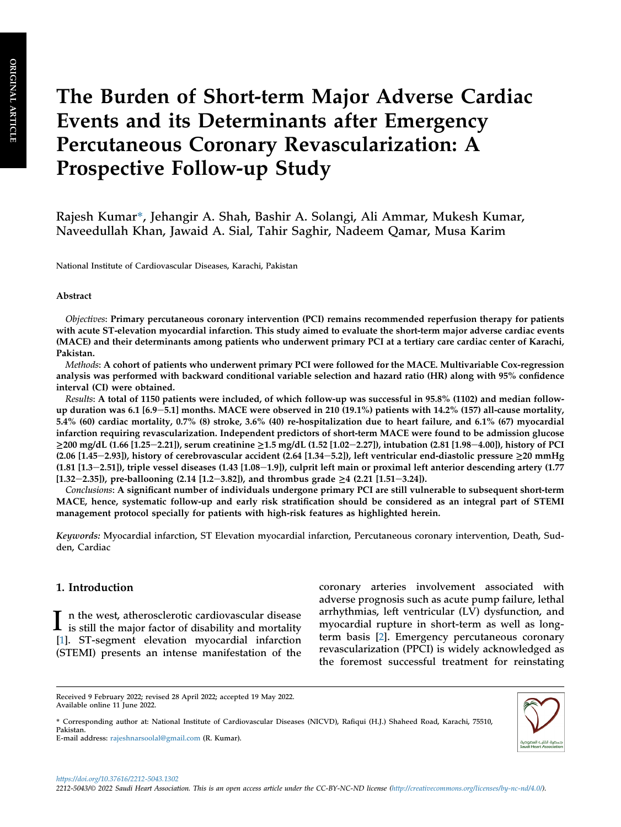# The Burden of Short-term Major Adverse Cardiac Events and its Determinants after Emergency Percutaneous Coronary Revascularization: A Prospective Follow-up Study

Rajesh Kumar\*, Jehangir A. Shah, Bashir A. Solangi, Ali Ammar, Mukesh Kumar, Naveedullah Khan, Jawaid A. Sial, Tahir Saghir, Nadeem Qamar, Musa Karim

National Institute of Cardiovascular Diseases, Karachi, Pakistan

#### Abstract

Objectives: Primary percutaneous coronary intervention (PCI) remains recommended reperfusion therapy for patients with acute ST-elevation myocardial infarction. This study aimed to evaluate the short-term major adverse cardiac events (MACE) and their determinants among patients who underwent primary PCI at a tertiary care cardiac center of Karachi, Pakistan.

Methods: A cohort of patients who underwent primary PCI were followed for the MACE. Multivariable Cox-regression analysis was performed with backward conditional variable selection and hazard ratio (HR) along with 95% confidence interval (CI) were obtained.

Results: A total of 1150 patients were included, of which follow-up was successful in 95.8% (1102) and median followup duration was 6.1  $[6.9-5.1]$  months. MACE were observed in 210 (19.1%) patients with 14.2% (157) all-cause mortality, 5.4% (60) cardiac mortality, 0.7% (8) stroke, 3.6% (40) re-hospitalization due to heart failure, and 6.1% (67) myocardial infarction requiring revascularization. Independent predictors of short-term MACE were found to be admission glucose ≥200 mg/dL (1.66 [1.25-2.21]), serum creatinine ≥1.5 mg/dL (1.52 [1.02-2.27]), intubation (2.81 [1.98-4.00]), history of PCI (2.06 [1.45–2.93]), history of cerebrovascular accident (2.64 [1.34–5.2]), left ventricular end-diastolic pressure  $\geq$ 20 mmHg  $(1.81 [1.3-2.51])$ , triple vessel diseases  $(1.43 [1.08-1.9])$ , culprit left main or proximal left anterior descending artery  $(1.77$  $[1.32-2.35]$ , pre-ballooning  $(2.14 [1.2-3.82])$ , and thrombus grade  $\geq 4$   $(2.21 [1.51-3.24])$ .

Conclusions: A significant number of individuals undergone primary PCI are still vulnerable to subsequent short-term MACE, hence, systematic follow-up and early risk stratification should be considered as an integral part of STEMI management protocol specially for patients with high-risk features as highlighted herein.

Keywords: Myocardial infarction, ST Elevation myocardial infarction, Percutaneous coronary intervention, Death, Sudden, Cardiac

#### 1. Introduction

I n the west, atherosclerotic cardiovascular disease<br>is still the major factor of disability and mortality [\[1](#page-10-0)]. ST-segment elevation myocardial infarction (STEMI) presents an intense manifestation of the coronary arteries involvement associated with adverse prognosis such as acute pump failure, lethal arrhythmias, left ventricular (LV) dysfunction, and myocardial rupture in short-term as well as longterm basis [\[2](#page-10-1)]. Emergency percutaneous coronary revascularization (PPCI) is widely acknowledged as the foremost successful treatment for reinstating

\* Corresponding author at: National Institute of Cardiovascular Diseases (NICVD), Rafiqui (H.J.) Shaheed Road, Karachi, 75510, Pakistan. E-mail address: [rajeshnarsoolal@gmail.com](mailto:rajeshnarsoolal@gmail.com) (R. Kumar).



Received 9 February 2022; revised 28 April 2022; accepted 19 May 2022. Available online 11 June 2022.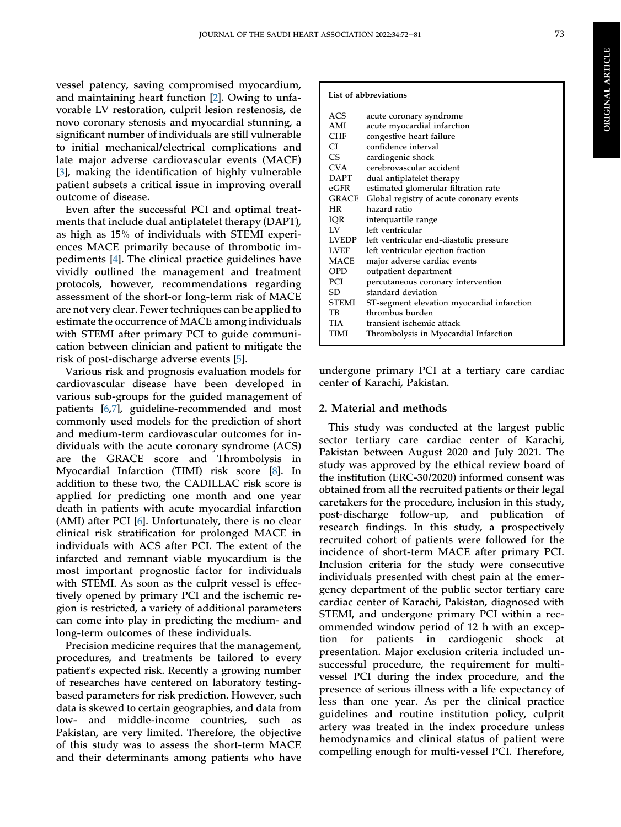vessel patency, saving compromised myocardium, and maintaining heart function [\[2](#page-10-1)]. Owing to unfavorable LV restoration, culprit lesion restenosis, de novo coronary stenosis and myocardial stunning, a significant number of individuals are still vulnerable to initial mechanical/electrical complications and late major adverse cardiovascular events (MACE) [\[3](#page-10-2)], making the identification of highly vulnerable patient subsets a critical issue in improving overall outcome of disease.

Even after the successful PCI and optimal treatments that include dual antiplatelet therapy (DAPT), as high as 15% of individuals with STEMI experiences MACE primarily because of thrombotic impediments [\[4](#page-10-3)]. The clinical practice guidelines have vividly outlined the management and treatment protocols, however, recommendations regarding assessment of the short-or long-term risk of MACE are not very clear. Fewer techniques can be applied to estimate the occurrence of MACE among individuals with STEMI after primary PCI to guide communication between clinician and patient to mitigate the risk of post-discharge adverse events [[5\]](#page-10-4).

Various risk and prognosis evaluation models for cardiovascular disease have been developed in various sub-groups for the guided management of patients [[6,](#page-10-5)[7](#page-10-6)], guideline-recommended and most commonly used models for the prediction of short and medium-term cardiovascular outcomes for individuals with the acute coronary syndrome (ACS) are the GRACE score and Thrombolysis in Myocardial Infarction (TIMI) risk score [\[8](#page-10-7)]. In addition to these two, the CADILLAC risk score is applied for predicting one month and one year death in patients with acute myocardial infarction (AMI) after PCI [[6\]](#page-10-5). Unfortunately, there is no clear clinical risk stratification for prolonged MACE in individuals with ACS after PCI. The extent of the infarcted and remnant viable myocardium is the most important prognostic factor for individuals with STEMI. As soon as the culprit vessel is effectively opened by primary PCI and the ischemic region is restricted, a variety of additional parameters can come into play in predicting the medium- and long-term outcomes of these individuals.

Precision medicine requires that the management, procedures, and treatments be tailored to every patient's expected risk. Recently a growing number of researches have centered on laboratory testingbased parameters for risk prediction. However, such data is skewed to certain geographies, and data from low- and middle-income countries, such as Pakistan, are very limited. Therefore, the objective of this study was to assess the short-term MACE and their determinants among patients who have

#### List of abbreviations

| ACS          | acute coronary syndrome                    |
|--------------|--------------------------------------------|
| AMI          | acute myocardial infarction                |
| <b>CHF</b>   | congestive heart failure                   |
| CL           | confidence interval                        |
| CS.          | cardiogenic shock                          |
| CVA          | cerebrovascular accident                   |
| <b>DAPT</b>  | dual antiplatelet therapy                  |
| $e$ GFR      | estimated glomerular filtration rate       |
| GRACE        | Global registry of acute coronary events   |
| <b>HR</b>    | hazard ratio                               |
| IQR          | interquartile range                        |
| $L_{\rm V}$  | left ventricular                           |
| LVEDP        | left ventricular end-diastolic pressure    |
| <b>LVEF</b>  | left ventricular ejection fraction         |
| MACE         | major adverse cardiac events               |
| OPD          | outpatient department                      |
| PCI          | percutaneous coronary intervention         |
| SD           | standard deviation                         |
| <b>STEMI</b> | ST-segment elevation myocardial infarction |
| TB           | thrombus burden                            |
| TIA          | transient ischemic attack                  |
| TIMI         | Thrombolysis in Myocardial Infarction      |
|              |                                            |

undergone primary PCI at a tertiary care cardiac center of Karachi, Pakistan.

#### 2. Material and methods

This study was conducted at the largest public sector tertiary care cardiac center of Karachi, Pakistan between August 2020 and July 2021. The study was approved by the ethical review board of the institution (ERC-30/2020) informed consent was obtained from all the recruited patients or their legal caretakers for the procedure, inclusion in this study, post-discharge follow-up, and publication of research findings. In this study, a prospectively recruited cohort of patients were followed for the incidence of short-term MACE after primary PCI. Inclusion criteria for the study were consecutive individuals presented with chest pain at the emergency department of the public sector tertiary care cardiac center of Karachi, Pakistan, diagnosed with STEMI, and undergone primary PCI within a recommended window period of 12 h with an exception for patients in cardiogenic shock at presentation. Major exclusion criteria included unsuccessful procedure, the requirement for multivessel PCI during the index procedure, and the presence of serious illness with a life expectancy of less than one year. As per the clinical practice guidelines and routine institution policy, culprit artery was treated in the index procedure unless hemodynamics and clinical status of patient were compelling enough for multi-vessel PCI. Therefore,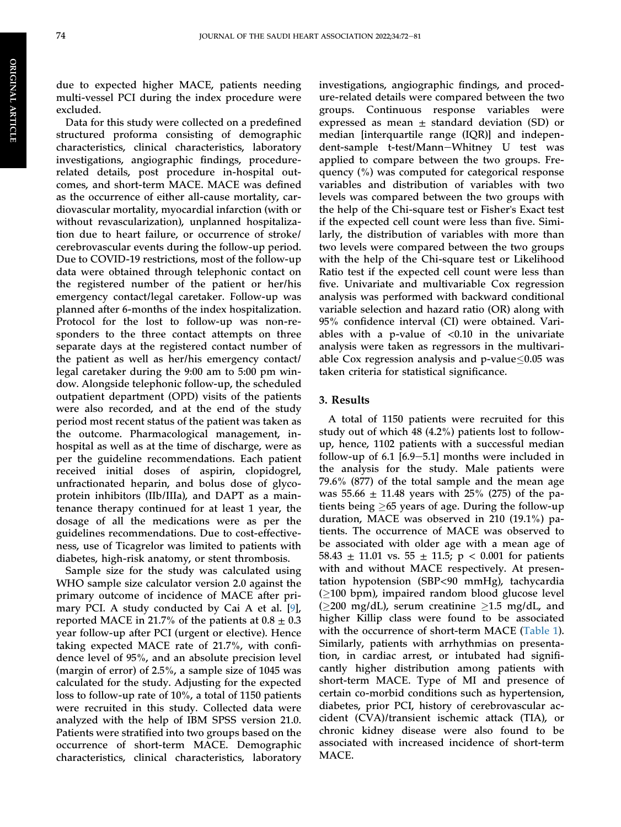due to expected higher MACE, patients needing multi-vessel PCI during the index procedure were excluded.

Data for this study were collected on a predefined structured proforma consisting of demographic characteristics, clinical characteristics, laboratory investigations, angiographic findings, procedurerelated details, post procedure in-hospital outcomes, and short-term MACE. MACE was defined as the occurrence of either all-cause mortality, cardiovascular mortality, myocardial infarction (with or without revascularization), unplanned hospitalization due to heart failure, or occurrence of stroke/ cerebrovascular events during the follow-up period. Due to COVID-19 restrictions, most of the follow-up data were obtained through telephonic contact on the registered number of the patient or her/his emergency contact/legal caretaker. Follow-up was planned after 6-months of the index hospitalization. Protocol for the lost to follow-up was non-responders to the three contact attempts on three separate days at the registered contact number of the patient as well as her/his emergency contact/ legal caretaker during the 9:00 am to 5:00 pm window. Alongside telephonic follow-up, the scheduled outpatient department (OPD) visits of the patients were also recorded, and at the end of the study period most recent status of the patient was taken as the outcome. Pharmacological management, inhospital as well as at the time of discharge, were as per the guideline recommendations. Each patient received initial doses of aspirin, clopidogrel, unfractionated heparin, and bolus dose of glycoprotein inhibitors (IIb/IIIa), and DAPT as a maintenance therapy continued for at least 1 year, the dosage of all the medications were as per the guidelines recommendations. Due to cost-effectiveness, use of Ticagrelor was limited to patients with diabetes, high-risk anatomy, or stent thrombosis.

Sample size for the study was calculated using WHO sample size calculator version 2.0 against the primary outcome of incidence of MACE after primary PCI. A study conducted by Cai A et al. [\[9](#page-10-8)], reported MACE in 21.7% of the patients at  $0.8 \pm 0.3$ year follow-up after PCI (urgent or elective). Hence taking expected MACE rate of 21.7%, with confidence level of 95%, and an absolute precision level (margin of error) of 2.5%, a sample size of 1045 was calculated for the study. Adjusting for the expected loss to follow-up rate of 10%, a total of 1150 patients were recruited in this study. Collected data were analyzed with the help of IBM SPSS version 21.0. Patients were stratified into two groups based on the occurrence of short-term MACE. Demographic characteristics, clinical characteristics, laboratory

investigations, angiographic findings, and procedure-related details were compared between the two groups. Continuous response variables were expressed as mean  $\pm$  standard deviation (SD) or median [interquartile range (IQR)] and independent-sample t-test/Mann-Whitney U test was applied to compare between the two groups. Frequency (%) was computed for categorical response variables and distribution of variables with two levels was compared between the two groups with the help of the Chi-square test or Fisher's Exact test if the expected cell count were less than five. Similarly, the distribution of variables with more than two levels were compared between the two groups with the help of the Chi-square test or Likelihood Ratio test if the expected cell count were less than five. Univariate and multivariable Cox regression analysis was performed with backward conditional variable selection and hazard ratio (OR) along with 95% confidence interval (CI) were obtained. Variables with a p-value of  $< 0.10$  in the univariate analysis were taken as regressors in the multivariable Cox regression analysis and p-value $\leq$ 0.05 was taken criteria for statistical significance.

#### 3. Results

A total of 1150 patients were recruited for this study out of which 48 (4.2%) patients lost to followup, hence, 1102 patients with a successful median follow-up of 6.1  $[6.9-5.1]$  months were included in the analysis for the study. Male patients were 79.6% (877) of the total sample and the mean age was 55.66  $\pm$  11.48 years with 25% (275) of the patients being  $>65$  years of age. During the follow-up duration, MACE was observed in 210 (19.1%) patients. The occurrence of MACE was observed to be associated with older age with a mean age of 58.43  $\pm$  11.01 vs. 55  $\pm$  11.5; p < 0.001 for patients with and without MACE respectively. At presentation hypotension (SBP<90 mmHg), tachycardia  $( \geq 100$  bpm), impaired random blood glucose level ( $\geq$ 200 mg/dL), serum creatinine  $\geq$ 1.5 mg/dL, and higher Killip class were found to be associated with the occurrence of short-term MACE [\(Table 1\)](#page-5-0). Similarly, patients with arrhythmias on presentation, in cardiac arrest, or intubated had significantly higher distribution among patients with short-term MACE. Type of MI and presence of certain co-morbid conditions such as hypertension, diabetes, prior PCI, history of cerebrovascular accident (CVA)/transient ischemic attack (TIA), or chronic kidney disease were also found to be associated with increased incidence of short-term MACE.

ARTICLE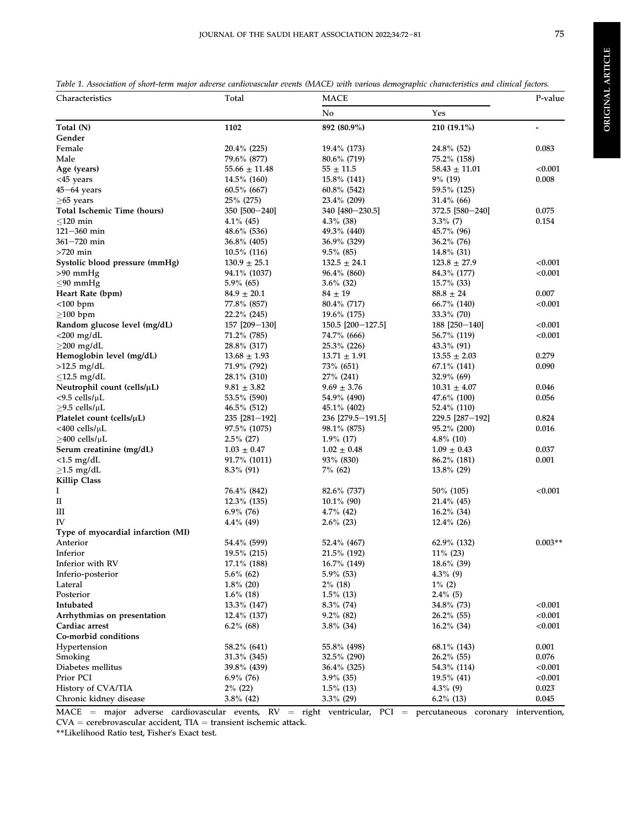<span id="page-5-0"></span>

|  | Table 1. Association of short-term major adverse cardiovascular events (MACE) with various demographic characteristics and clinical factors. |  |
|--|----------------------------------------------------------------------------------------------------------------------------------------------|--|
|  |                                                                                                                                              |  |

| No<br>Yes<br>892 (80.9%)<br>Total (N)<br>1102<br>210 (19.1%)<br>Gender<br>Female<br>$20.4\%$ (225)<br>19.4% (173)<br>$24.8\%$ (52)<br>0.083<br>Male<br>79.6% (877)<br>75.2% (158)<br>$80.6\%$ (719)<br>< 0.001<br>Age (years)<br>$55.66 \pm 11.48$<br>$55 \pm 11.5$<br>$58.43 \pm 11.01$<br>0.008<br>$<$ 45 years<br>14.5% (160)<br>15.8% (141)<br>$9\%$ (19)<br>$45 - 64$ years<br>$60.5\%$ (667)<br>$60.8\%$ (542)<br>59.5% (125)<br>25% (275)<br>$\geq$ 65 years<br>$23.4\%$ (209)<br>$31.4\%$ (66)<br>Total Ischemic Time (hours)<br>350 [500-240]<br>372.5 [580-240]<br>0.075<br>340 [480-230.5]<br>$<$ 120 min<br>$3.3\%$ (7)<br>0.154<br>$4.1\%$ (45)<br>$4.3\%$ (38)<br>$121 - 360$ min<br>48.6% (536)<br>49.3% (440)<br>45.7% (96)<br>361-720 min<br>36.8% (405)<br>36.9% (329)<br>$36.2\%$ (76)<br>$>720$ min<br>$9.5\%$ (85)<br>$10.5\%$ (116)<br>$14.8\%$ (31)<br>< 0.001<br>Systolic blood pressure (mmHg)<br>$130.9 \pm 25.1$<br>$132.5 \pm 24.1$<br>$123.8 \pm 27.9$<br>$>90$ mmHg<br>94.1% (1037)<br>96.4% (860)<br>< 0.001<br>84.3% (177)<br>$5.9\%$ (65)<br>$3.6\%$ (32)<br>$15.7\%$ (33)<br>$\leq 90$ mmHg<br>Heart Rate (bpm)<br>$84.9 \pm 20.1$<br>$84 \pm 19$<br>$88.8 \pm 24$<br>0.007<br>$<$ 100 bpm<br>77.8% (857)<br>$80.4\%$ (717)<br>$66.7\%$ (140)<br>< 0.001<br>$\geq$ 100 bpm<br>22.2% (245)<br>$33.3\%$ (70)<br>$19.6\%$ (175)<br>Random glucose level (mg/dL)<br>157 [209-130]<br>150.5 [200-127.5]<br>188 [250-140]<br>< 0.001<br>$<$ 200 mg/dL<br>< 0.001<br>71.2% (785)<br>74.7% (666)<br>56.7% (119)<br>$\geq$ 200 mg/dL<br>28.8% (317)<br>25.3% (226)<br>$43.3\%$ (91)<br>Hemoglobin level (mg/dL)<br>$13.68 \pm 1.93$<br>$13.71 \pm 1.91$<br>$13.55 \pm 2.03$<br>0.279<br>$>12.5$ mg/dL<br>71.9% (792)<br>73% (651)<br>0.090<br>$67.1\%$ (141)<br>$<$ 12.5 mg/dL<br>28.1% (310)<br>27% (241)<br>$32.9\%$ (69)<br>Neutrophil count (cells/µL)<br>$9.81 \pm 3.82$<br>$9.69 \pm 3.76$<br>0.046<br>$10.31 \pm 4.07$<br>$<$ 9.5 cells/ $\mu$ L<br>53.5% (590)<br>54.9% (490)<br>47.6% (100)<br>0.056<br>$\geq$ 9.5 cells/µL<br>46.5% (512)<br>52.4% (110)<br>$45.1\%$ (402)<br>Platelet count (cells/µL)<br>235 [281-192]<br>236 [279.5-191.5]<br>229.5 [287-192]<br>0.824<br><400 cells/µL<br>97.5% (1075)<br>98.1% (875)<br>95.2% (200)<br>0.016<br>$\geq$ 400 cells/µL<br>$2.5\%$ (27)<br>$1.9\%$ (17)<br>$4.8\%$ (10)<br>Serum creatinine (mg/dL)<br>$1.03 \pm 0.47$<br>$1.02 \pm 0.48$<br>$1.09 \pm 0.43$<br>0.037<br>$<$ 1.5 mg/dL<br>91.7% (1011)<br>93% (830)<br>86.2% (181)<br>0.001<br>$\geq$ 1.5 mg/dL<br>$8.3\%$ (91)<br>$7\%$ (62)<br>$13.8\%$ (29)<br><b>Killip Class</b><br>I<br>< 0.001<br>76.4% (842)<br>$82.6\%$ (737)<br>50\% (105)<br>$\rm II$<br>$12.3\%$ (135)<br>$10.1\%$ (90)<br>$21.4\%$ (45)<br>Ш<br>$6.9\%$ (76)<br>$4.7\%$ (42)<br>$16.2\%$ (34)<br>IV<br>4.4% (49)<br>$2.6\%$ (23)<br>$12.4\%$ (26)<br>Type of myocardial infarction (MI)<br>$0.003**$<br>Anterior<br>54.4% (599)<br>62.9% (132)<br>52.4% (467)<br>Inferior<br>19.5% (215)<br>21.5% (192)<br>$11\%$ (23)<br>Inferior with RV<br>$17.1\%$ (188)<br>16.7% (149)<br>18.6% (39)<br>Inferio-posterior<br>$5.6\%$ (62)<br>$5.9\%$ (53)<br>$4.3\%$ (9)<br>Lateral<br>$1.8\%$ (20)<br>$2\%$ (18)<br>$1\%$ (2)<br>Posterior<br>$1.6\%$ (18)<br>$1.5\%$ (13)<br>$2.4\%$ (5)<br>< 0.001<br>Intubated<br>13.3% (147)<br>$8.3\%$ (74)<br>34.8% (73)<br>< 0.001<br>Arrhythmias on presentation<br>12.4% (137)<br>$9.2\%$ (82)<br>$26.2\%$ (55)<br>Cardiac arrest<br>$6.2\%$ (68)<br>$3.8\%$ (34)<br>$16.2\%$ (34)<br>< 0.001<br>Co-morbid conditions<br>Hypertension<br>58.2% (641)<br>55.8% (498)<br>68.1% (143)<br>0.001<br>0.076<br>Smoking<br>31.3% (345)<br>32.5% (290)<br>$26.2\%$ (55)<br>Diabetes mellitus<br>39.8% (439)<br>36.4% (325)<br>54.3% (114)<br>< 0.001<br>Prior PCI<br>$6.9\%$ (76)<br>$3.9\%$ (35)<br>19.5% (41)<br>< 0.001<br>History of CVA/TIA<br>0.023<br>$2\%$ (22)<br>$1.5\%$ (13)<br>$4.3\%$ (9)<br>$3.8\%$ (42)<br>$3.3\%$ (29)<br>$6.2\%$ (13)<br>0.045<br>Chronic kidney disease | Characteristics | Total | MACE |  | P-value |  |
|----------------------------------------------------------------------------------------------------------------------------------------------------------------------------------------------------------------------------------------------------------------------------------------------------------------------------------------------------------------------------------------------------------------------------------------------------------------------------------------------------------------------------------------------------------------------------------------------------------------------------------------------------------------------------------------------------------------------------------------------------------------------------------------------------------------------------------------------------------------------------------------------------------------------------------------------------------------------------------------------------------------------------------------------------------------------------------------------------------------------------------------------------------------------------------------------------------------------------------------------------------------------------------------------------------------------------------------------------------------------------------------------------------------------------------------------------------------------------------------------------------------------------------------------------------------------------------------------------------------------------------------------------------------------------------------------------------------------------------------------------------------------------------------------------------------------------------------------------------------------------------------------------------------------------------------------------------------------------------------------------------------------------------------------------------------------------------------------------------------------------------------------------------------------------------------------------------------------------------------------------------------------------------------------------------------------------------------------------------------------------------------------------------------------------------------------------------------------------------------------------------------------------------------------------------------------------------------------------------------------------------------------------------------------------------------------------------------------------------------------------------------------------------------------------------------------------------------------------------------------------------------------------------------------------------------------------------------------------------------------------------------------------------------------------------------------------------------------------------------------------------------------------------------------------------------------------------------------------------------------------------------------------------------------------------------------------------------------------------------------------------------------------------------------------------------------------------------------------------------------------------------------------------------------------------------------------------------------------------------------------------------------------------------------------------------------------------------------------------------------------------------------------------------------------------------------------------------------------------------------------------------------------------------------------------------------------------------------------------------------------------------------------------|-----------------|-------|------|--|---------|--|
|                                                                                                                                                                                                                                                                                                                                                                                                                                                                                                                                                                                                                                                                                                                                                                                                                                                                                                                                                                                                                                                                                                                                                                                                                                                                                                                                                                                                                                                                                                                                                                                                                                                                                                                                                                                                                                                                                                                                                                                                                                                                                                                                                                                                                                                                                                                                                                                                                                                                                                                                                                                                                                                                                                                                                                                                                                                                                                                                                                                                                                                                                                                                                                                                                                                                                                                                                                                                                                                                                                                                                                                                                                                                                                                                                                                                                                                                                                                                                                                                                                  |                 |       |      |  |         |  |
|                                                                                                                                                                                                                                                                                                                                                                                                                                                                                                                                                                                                                                                                                                                                                                                                                                                                                                                                                                                                                                                                                                                                                                                                                                                                                                                                                                                                                                                                                                                                                                                                                                                                                                                                                                                                                                                                                                                                                                                                                                                                                                                                                                                                                                                                                                                                                                                                                                                                                                                                                                                                                                                                                                                                                                                                                                                                                                                                                                                                                                                                                                                                                                                                                                                                                                                                                                                                                                                                                                                                                                                                                                                                                                                                                                                                                                                                                                                                                                                                                                  |                 |       |      |  |         |  |
|                                                                                                                                                                                                                                                                                                                                                                                                                                                                                                                                                                                                                                                                                                                                                                                                                                                                                                                                                                                                                                                                                                                                                                                                                                                                                                                                                                                                                                                                                                                                                                                                                                                                                                                                                                                                                                                                                                                                                                                                                                                                                                                                                                                                                                                                                                                                                                                                                                                                                                                                                                                                                                                                                                                                                                                                                                                                                                                                                                                                                                                                                                                                                                                                                                                                                                                                                                                                                                                                                                                                                                                                                                                                                                                                                                                                                                                                                                                                                                                                                                  |                 |       |      |  |         |  |
|                                                                                                                                                                                                                                                                                                                                                                                                                                                                                                                                                                                                                                                                                                                                                                                                                                                                                                                                                                                                                                                                                                                                                                                                                                                                                                                                                                                                                                                                                                                                                                                                                                                                                                                                                                                                                                                                                                                                                                                                                                                                                                                                                                                                                                                                                                                                                                                                                                                                                                                                                                                                                                                                                                                                                                                                                                                                                                                                                                                                                                                                                                                                                                                                                                                                                                                                                                                                                                                                                                                                                                                                                                                                                                                                                                                                                                                                                                                                                                                                                                  |                 |       |      |  |         |  |
|                                                                                                                                                                                                                                                                                                                                                                                                                                                                                                                                                                                                                                                                                                                                                                                                                                                                                                                                                                                                                                                                                                                                                                                                                                                                                                                                                                                                                                                                                                                                                                                                                                                                                                                                                                                                                                                                                                                                                                                                                                                                                                                                                                                                                                                                                                                                                                                                                                                                                                                                                                                                                                                                                                                                                                                                                                                                                                                                                                                                                                                                                                                                                                                                                                                                                                                                                                                                                                                                                                                                                                                                                                                                                                                                                                                                                                                                                                                                                                                                                                  |                 |       |      |  |         |  |
|                                                                                                                                                                                                                                                                                                                                                                                                                                                                                                                                                                                                                                                                                                                                                                                                                                                                                                                                                                                                                                                                                                                                                                                                                                                                                                                                                                                                                                                                                                                                                                                                                                                                                                                                                                                                                                                                                                                                                                                                                                                                                                                                                                                                                                                                                                                                                                                                                                                                                                                                                                                                                                                                                                                                                                                                                                                                                                                                                                                                                                                                                                                                                                                                                                                                                                                                                                                                                                                                                                                                                                                                                                                                                                                                                                                                                                                                                                                                                                                                                                  |                 |       |      |  |         |  |
|                                                                                                                                                                                                                                                                                                                                                                                                                                                                                                                                                                                                                                                                                                                                                                                                                                                                                                                                                                                                                                                                                                                                                                                                                                                                                                                                                                                                                                                                                                                                                                                                                                                                                                                                                                                                                                                                                                                                                                                                                                                                                                                                                                                                                                                                                                                                                                                                                                                                                                                                                                                                                                                                                                                                                                                                                                                                                                                                                                                                                                                                                                                                                                                                                                                                                                                                                                                                                                                                                                                                                                                                                                                                                                                                                                                                                                                                                                                                                                                                                                  |                 |       |      |  |         |  |
|                                                                                                                                                                                                                                                                                                                                                                                                                                                                                                                                                                                                                                                                                                                                                                                                                                                                                                                                                                                                                                                                                                                                                                                                                                                                                                                                                                                                                                                                                                                                                                                                                                                                                                                                                                                                                                                                                                                                                                                                                                                                                                                                                                                                                                                                                                                                                                                                                                                                                                                                                                                                                                                                                                                                                                                                                                                                                                                                                                                                                                                                                                                                                                                                                                                                                                                                                                                                                                                                                                                                                                                                                                                                                                                                                                                                                                                                                                                                                                                                                                  |                 |       |      |  |         |  |
|                                                                                                                                                                                                                                                                                                                                                                                                                                                                                                                                                                                                                                                                                                                                                                                                                                                                                                                                                                                                                                                                                                                                                                                                                                                                                                                                                                                                                                                                                                                                                                                                                                                                                                                                                                                                                                                                                                                                                                                                                                                                                                                                                                                                                                                                                                                                                                                                                                                                                                                                                                                                                                                                                                                                                                                                                                                                                                                                                                                                                                                                                                                                                                                                                                                                                                                                                                                                                                                                                                                                                                                                                                                                                                                                                                                                                                                                                                                                                                                                                                  |                 |       |      |  |         |  |
|                                                                                                                                                                                                                                                                                                                                                                                                                                                                                                                                                                                                                                                                                                                                                                                                                                                                                                                                                                                                                                                                                                                                                                                                                                                                                                                                                                                                                                                                                                                                                                                                                                                                                                                                                                                                                                                                                                                                                                                                                                                                                                                                                                                                                                                                                                                                                                                                                                                                                                                                                                                                                                                                                                                                                                                                                                                                                                                                                                                                                                                                                                                                                                                                                                                                                                                                                                                                                                                                                                                                                                                                                                                                                                                                                                                                                                                                                                                                                                                                                                  |                 |       |      |  |         |  |
|                                                                                                                                                                                                                                                                                                                                                                                                                                                                                                                                                                                                                                                                                                                                                                                                                                                                                                                                                                                                                                                                                                                                                                                                                                                                                                                                                                                                                                                                                                                                                                                                                                                                                                                                                                                                                                                                                                                                                                                                                                                                                                                                                                                                                                                                                                                                                                                                                                                                                                                                                                                                                                                                                                                                                                                                                                                                                                                                                                                                                                                                                                                                                                                                                                                                                                                                                                                                                                                                                                                                                                                                                                                                                                                                                                                                                                                                                                                                                                                                                                  |                 |       |      |  |         |  |
|                                                                                                                                                                                                                                                                                                                                                                                                                                                                                                                                                                                                                                                                                                                                                                                                                                                                                                                                                                                                                                                                                                                                                                                                                                                                                                                                                                                                                                                                                                                                                                                                                                                                                                                                                                                                                                                                                                                                                                                                                                                                                                                                                                                                                                                                                                                                                                                                                                                                                                                                                                                                                                                                                                                                                                                                                                                                                                                                                                                                                                                                                                                                                                                                                                                                                                                                                                                                                                                                                                                                                                                                                                                                                                                                                                                                                                                                                                                                                                                                                                  |                 |       |      |  |         |  |
|                                                                                                                                                                                                                                                                                                                                                                                                                                                                                                                                                                                                                                                                                                                                                                                                                                                                                                                                                                                                                                                                                                                                                                                                                                                                                                                                                                                                                                                                                                                                                                                                                                                                                                                                                                                                                                                                                                                                                                                                                                                                                                                                                                                                                                                                                                                                                                                                                                                                                                                                                                                                                                                                                                                                                                                                                                                                                                                                                                                                                                                                                                                                                                                                                                                                                                                                                                                                                                                                                                                                                                                                                                                                                                                                                                                                                                                                                                                                                                                                                                  |                 |       |      |  |         |  |
|                                                                                                                                                                                                                                                                                                                                                                                                                                                                                                                                                                                                                                                                                                                                                                                                                                                                                                                                                                                                                                                                                                                                                                                                                                                                                                                                                                                                                                                                                                                                                                                                                                                                                                                                                                                                                                                                                                                                                                                                                                                                                                                                                                                                                                                                                                                                                                                                                                                                                                                                                                                                                                                                                                                                                                                                                                                                                                                                                                                                                                                                                                                                                                                                                                                                                                                                                                                                                                                                                                                                                                                                                                                                                                                                                                                                                                                                                                                                                                                                                                  |                 |       |      |  |         |  |
|                                                                                                                                                                                                                                                                                                                                                                                                                                                                                                                                                                                                                                                                                                                                                                                                                                                                                                                                                                                                                                                                                                                                                                                                                                                                                                                                                                                                                                                                                                                                                                                                                                                                                                                                                                                                                                                                                                                                                                                                                                                                                                                                                                                                                                                                                                                                                                                                                                                                                                                                                                                                                                                                                                                                                                                                                                                                                                                                                                                                                                                                                                                                                                                                                                                                                                                                                                                                                                                                                                                                                                                                                                                                                                                                                                                                                                                                                                                                                                                                                                  |                 |       |      |  |         |  |
|                                                                                                                                                                                                                                                                                                                                                                                                                                                                                                                                                                                                                                                                                                                                                                                                                                                                                                                                                                                                                                                                                                                                                                                                                                                                                                                                                                                                                                                                                                                                                                                                                                                                                                                                                                                                                                                                                                                                                                                                                                                                                                                                                                                                                                                                                                                                                                                                                                                                                                                                                                                                                                                                                                                                                                                                                                                                                                                                                                                                                                                                                                                                                                                                                                                                                                                                                                                                                                                                                                                                                                                                                                                                                                                                                                                                                                                                                                                                                                                                                                  |                 |       |      |  |         |  |
|                                                                                                                                                                                                                                                                                                                                                                                                                                                                                                                                                                                                                                                                                                                                                                                                                                                                                                                                                                                                                                                                                                                                                                                                                                                                                                                                                                                                                                                                                                                                                                                                                                                                                                                                                                                                                                                                                                                                                                                                                                                                                                                                                                                                                                                                                                                                                                                                                                                                                                                                                                                                                                                                                                                                                                                                                                                                                                                                                                                                                                                                                                                                                                                                                                                                                                                                                                                                                                                                                                                                                                                                                                                                                                                                                                                                                                                                                                                                                                                                                                  |                 |       |      |  |         |  |
|                                                                                                                                                                                                                                                                                                                                                                                                                                                                                                                                                                                                                                                                                                                                                                                                                                                                                                                                                                                                                                                                                                                                                                                                                                                                                                                                                                                                                                                                                                                                                                                                                                                                                                                                                                                                                                                                                                                                                                                                                                                                                                                                                                                                                                                                                                                                                                                                                                                                                                                                                                                                                                                                                                                                                                                                                                                                                                                                                                                                                                                                                                                                                                                                                                                                                                                                                                                                                                                                                                                                                                                                                                                                                                                                                                                                                                                                                                                                                                                                                                  |                 |       |      |  |         |  |
|                                                                                                                                                                                                                                                                                                                                                                                                                                                                                                                                                                                                                                                                                                                                                                                                                                                                                                                                                                                                                                                                                                                                                                                                                                                                                                                                                                                                                                                                                                                                                                                                                                                                                                                                                                                                                                                                                                                                                                                                                                                                                                                                                                                                                                                                                                                                                                                                                                                                                                                                                                                                                                                                                                                                                                                                                                                                                                                                                                                                                                                                                                                                                                                                                                                                                                                                                                                                                                                                                                                                                                                                                                                                                                                                                                                                                                                                                                                                                                                                                                  |                 |       |      |  |         |  |
|                                                                                                                                                                                                                                                                                                                                                                                                                                                                                                                                                                                                                                                                                                                                                                                                                                                                                                                                                                                                                                                                                                                                                                                                                                                                                                                                                                                                                                                                                                                                                                                                                                                                                                                                                                                                                                                                                                                                                                                                                                                                                                                                                                                                                                                                                                                                                                                                                                                                                                                                                                                                                                                                                                                                                                                                                                                                                                                                                                                                                                                                                                                                                                                                                                                                                                                                                                                                                                                                                                                                                                                                                                                                                                                                                                                                                                                                                                                                                                                                                                  |                 |       |      |  |         |  |
|                                                                                                                                                                                                                                                                                                                                                                                                                                                                                                                                                                                                                                                                                                                                                                                                                                                                                                                                                                                                                                                                                                                                                                                                                                                                                                                                                                                                                                                                                                                                                                                                                                                                                                                                                                                                                                                                                                                                                                                                                                                                                                                                                                                                                                                                                                                                                                                                                                                                                                                                                                                                                                                                                                                                                                                                                                                                                                                                                                                                                                                                                                                                                                                                                                                                                                                                                                                                                                                                                                                                                                                                                                                                                                                                                                                                                                                                                                                                                                                                                                  |                 |       |      |  |         |  |
|                                                                                                                                                                                                                                                                                                                                                                                                                                                                                                                                                                                                                                                                                                                                                                                                                                                                                                                                                                                                                                                                                                                                                                                                                                                                                                                                                                                                                                                                                                                                                                                                                                                                                                                                                                                                                                                                                                                                                                                                                                                                                                                                                                                                                                                                                                                                                                                                                                                                                                                                                                                                                                                                                                                                                                                                                                                                                                                                                                                                                                                                                                                                                                                                                                                                                                                                                                                                                                                                                                                                                                                                                                                                                                                                                                                                                                                                                                                                                                                                                                  |                 |       |      |  |         |  |
|                                                                                                                                                                                                                                                                                                                                                                                                                                                                                                                                                                                                                                                                                                                                                                                                                                                                                                                                                                                                                                                                                                                                                                                                                                                                                                                                                                                                                                                                                                                                                                                                                                                                                                                                                                                                                                                                                                                                                                                                                                                                                                                                                                                                                                                                                                                                                                                                                                                                                                                                                                                                                                                                                                                                                                                                                                                                                                                                                                                                                                                                                                                                                                                                                                                                                                                                                                                                                                                                                                                                                                                                                                                                                                                                                                                                                                                                                                                                                                                                                                  |                 |       |      |  |         |  |
|                                                                                                                                                                                                                                                                                                                                                                                                                                                                                                                                                                                                                                                                                                                                                                                                                                                                                                                                                                                                                                                                                                                                                                                                                                                                                                                                                                                                                                                                                                                                                                                                                                                                                                                                                                                                                                                                                                                                                                                                                                                                                                                                                                                                                                                                                                                                                                                                                                                                                                                                                                                                                                                                                                                                                                                                                                                                                                                                                                                                                                                                                                                                                                                                                                                                                                                                                                                                                                                                                                                                                                                                                                                                                                                                                                                                                                                                                                                                                                                                                                  |                 |       |      |  |         |  |
|                                                                                                                                                                                                                                                                                                                                                                                                                                                                                                                                                                                                                                                                                                                                                                                                                                                                                                                                                                                                                                                                                                                                                                                                                                                                                                                                                                                                                                                                                                                                                                                                                                                                                                                                                                                                                                                                                                                                                                                                                                                                                                                                                                                                                                                                                                                                                                                                                                                                                                                                                                                                                                                                                                                                                                                                                                                                                                                                                                                                                                                                                                                                                                                                                                                                                                                                                                                                                                                                                                                                                                                                                                                                                                                                                                                                                                                                                                                                                                                                                                  |                 |       |      |  |         |  |
|                                                                                                                                                                                                                                                                                                                                                                                                                                                                                                                                                                                                                                                                                                                                                                                                                                                                                                                                                                                                                                                                                                                                                                                                                                                                                                                                                                                                                                                                                                                                                                                                                                                                                                                                                                                                                                                                                                                                                                                                                                                                                                                                                                                                                                                                                                                                                                                                                                                                                                                                                                                                                                                                                                                                                                                                                                                                                                                                                                                                                                                                                                                                                                                                                                                                                                                                                                                                                                                                                                                                                                                                                                                                                                                                                                                                                                                                                                                                                                                                                                  |                 |       |      |  |         |  |
|                                                                                                                                                                                                                                                                                                                                                                                                                                                                                                                                                                                                                                                                                                                                                                                                                                                                                                                                                                                                                                                                                                                                                                                                                                                                                                                                                                                                                                                                                                                                                                                                                                                                                                                                                                                                                                                                                                                                                                                                                                                                                                                                                                                                                                                                                                                                                                                                                                                                                                                                                                                                                                                                                                                                                                                                                                                                                                                                                                                                                                                                                                                                                                                                                                                                                                                                                                                                                                                                                                                                                                                                                                                                                                                                                                                                                                                                                                                                                                                                                                  |                 |       |      |  |         |  |
|                                                                                                                                                                                                                                                                                                                                                                                                                                                                                                                                                                                                                                                                                                                                                                                                                                                                                                                                                                                                                                                                                                                                                                                                                                                                                                                                                                                                                                                                                                                                                                                                                                                                                                                                                                                                                                                                                                                                                                                                                                                                                                                                                                                                                                                                                                                                                                                                                                                                                                                                                                                                                                                                                                                                                                                                                                                                                                                                                                                                                                                                                                                                                                                                                                                                                                                                                                                                                                                                                                                                                                                                                                                                                                                                                                                                                                                                                                                                                                                                                                  |                 |       |      |  |         |  |
|                                                                                                                                                                                                                                                                                                                                                                                                                                                                                                                                                                                                                                                                                                                                                                                                                                                                                                                                                                                                                                                                                                                                                                                                                                                                                                                                                                                                                                                                                                                                                                                                                                                                                                                                                                                                                                                                                                                                                                                                                                                                                                                                                                                                                                                                                                                                                                                                                                                                                                                                                                                                                                                                                                                                                                                                                                                                                                                                                                                                                                                                                                                                                                                                                                                                                                                                                                                                                                                                                                                                                                                                                                                                                                                                                                                                                                                                                                                                                                                                                                  |                 |       |      |  |         |  |
|                                                                                                                                                                                                                                                                                                                                                                                                                                                                                                                                                                                                                                                                                                                                                                                                                                                                                                                                                                                                                                                                                                                                                                                                                                                                                                                                                                                                                                                                                                                                                                                                                                                                                                                                                                                                                                                                                                                                                                                                                                                                                                                                                                                                                                                                                                                                                                                                                                                                                                                                                                                                                                                                                                                                                                                                                                                                                                                                                                                                                                                                                                                                                                                                                                                                                                                                                                                                                                                                                                                                                                                                                                                                                                                                                                                                                                                                                                                                                                                                                                  |                 |       |      |  |         |  |
|                                                                                                                                                                                                                                                                                                                                                                                                                                                                                                                                                                                                                                                                                                                                                                                                                                                                                                                                                                                                                                                                                                                                                                                                                                                                                                                                                                                                                                                                                                                                                                                                                                                                                                                                                                                                                                                                                                                                                                                                                                                                                                                                                                                                                                                                                                                                                                                                                                                                                                                                                                                                                                                                                                                                                                                                                                                                                                                                                                                                                                                                                                                                                                                                                                                                                                                                                                                                                                                                                                                                                                                                                                                                                                                                                                                                                                                                                                                                                                                                                                  |                 |       |      |  |         |  |
|                                                                                                                                                                                                                                                                                                                                                                                                                                                                                                                                                                                                                                                                                                                                                                                                                                                                                                                                                                                                                                                                                                                                                                                                                                                                                                                                                                                                                                                                                                                                                                                                                                                                                                                                                                                                                                                                                                                                                                                                                                                                                                                                                                                                                                                                                                                                                                                                                                                                                                                                                                                                                                                                                                                                                                                                                                                                                                                                                                                                                                                                                                                                                                                                                                                                                                                                                                                                                                                                                                                                                                                                                                                                                                                                                                                                                                                                                                                                                                                                                                  |                 |       |      |  |         |  |
|                                                                                                                                                                                                                                                                                                                                                                                                                                                                                                                                                                                                                                                                                                                                                                                                                                                                                                                                                                                                                                                                                                                                                                                                                                                                                                                                                                                                                                                                                                                                                                                                                                                                                                                                                                                                                                                                                                                                                                                                                                                                                                                                                                                                                                                                                                                                                                                                                                                                                                                                                                                                                                                                                                                                                                                                                                                                                                                                                                                                                                                                                                                                                                                                                                                                                                                                                                                                                                                                                                                                                                                                                                                                                                                                                                                                                                                                                                                                                                                                                                  |                 |       |      |  |         |  |
|                                                                                                                                                                                                                                                                                                                                                                                                                                                                                                                                                                                                                                                                                                                                                                                                                                                                                                                                                                                                                                                                                                                                                                                                                                                                                                                                                                                                                                                                                                                                                                                                                                                                                                                                                                                                                                                                                                                                                                                                                                                                                                                                                                                                                                                                                                                                                                                                                                                                                                                                                                                                                                                                                                                                                                                                                                                                                                                                                                                                                                                                                                                                                                                                                                                                                                                                                                                                                                                                                                                                                                                                                                                                                                                                                                                                                                                                                                                                                                                                                                  |                 |       |      |  |         |  |
|                                                                                                                                                                                                                                                                                                                                                                                                                                                                                                                                                                                                                                                                                                                                                                                                                                                                                                                                                                                                                                                                                                                                                                                                                                                                                                                                                                                                                                                                                                                                                                                                                                                                                                                                                                                                                                                                                                                                                                                                                                                                                                                                                                                                                                                                                                                                                                                                                                                                                                                                                                                                                                                                                                                                                                                                                                                                                                                                                                                                                                                                                                                                                                                                                                                                                                                                                                                                                                                                                                                                                                                                                                                                                                                                                                                                                                                                                                                                                                                                                                  |                 |       |      |  |         |  |
|                                                                                                                                                                                                                                                                                                                                                                                                                                                                                                                                                                                                                                                                                                                                                                                                                                                                                                                                                                                                                                                                                                                                                                                                                                                                                                                                                                                                                                                                                                                                                                                                                                                                                                                                                                                                                                                                                                                                                                                                                                                                                                                                                                                                                                                                                                                                                                                                                                                                                                                                                                                                                                                                                                                                                                                                                                                                                                                                                                                                                                                                                                                                                                                                                                                                                                                                                                                                                                                                                                                                                                                                                                                                                                                                                                                                                                                                                                                                                                                                                                  |                 |       |      |  |         |  |
|                                                                                                                                                                                                                                                                                                                                                                                                                                                                                                                                                                                                                                                                                                                                                                                                                                                                                                                                                                                                                                                                                                                                                                                                                                                                                                                                                                                                                                                                                                                                                                                                                                                                                                                                                                                                                                                                                                                                                                                                                                                                                                                                                                                                                                                                                                                                                                                                                                                                                                                                                                                                                                                                                                                                                                                                                                                                                                                                                                                                                                                                                                                                                                                                                                                                                                                                                                                                                                                                                                                                                                                                                                                                                                                                                                                                                                                                                                                                                                                                                                  |                 |       |      |  |         |  |
|                                                                                                                                                                                                                                                                                                                                                                                                                                                                                                                                                                                                                                                                                                                                                                                                                                                                                                                                                                                                                                                                                                                                                                                                                                                                                                                                                                                                                                                                                                                                                                                                                                                                                                                                                                                                                                                                                                                                                                                                                                                                                                                                                                                                                                                                                                                                                                                                                                                                                                                                                                                                                                                                                                                                                                                                                                                                                                                                                                                                                                                                                                                                                                                                                                                                                                                                                                                                                                                                                                                                                                                                                                                                                                                                                                                                                                                                                                                                                                                                                                  |                 |       |      |  |         |  |
|                                                                                                                                                                                                                                                                                                                                                                                                                                                                                                                                                                                                                                                                                                                                                                                                                                                                                                                                                                                                                                                                                                                                                                                                                                                                                                                                                                                                                                                                                                                                                                                                                                                                                                                                                                                                                                                                                                                                                                                                                                                                                                                                                                                                                                                                                                                                                                                                                                                                                                                                                                                                                                                                                                                                                                                                                                                                                                                                                                                                                                                                                                                                                                                                                                                                                                                                                                                                                                                                                                                                                                                                                                                                                                                                                                                                                                                                                                                                                                                                                                  |                 |       |      |  |         |  |
|                                                                                                                                                                                                                                                                                                                                                                                                                                                                                                                                                                                                                                                                                                                                                                                                                                                                                                                                                                                                                                                                                                                                                                                                                                                                                                                                                                                                                                                                                                                                                                                                                                                                                                                                                                                                                                                                                                                                                                                                                                                                                                                                                                                                                                                                                                                                                                                                                                                                                                                                                                                                                                                                                                                                                                                                                                                                                                                                                                                                                                                                                                                                                                                                                                                                                                                                                                                                                                                                                                                                                                                                                                                                                                                                                                                                                                                                                                                                                                                                                                  |                 |       |      |  |         |  |
|                                                                                                                                                                                                                                                                                                                                                                                                                                                                                                                                                                                                                                                                                                                                                                                                                                                                                                                                                                                                                                                                                                                                                                                                                                                                                                                                                                                                                                                                                                                                                                                                                                                                                                                                                                                                                                                                                                                                                                                                                                                                                                                                                                                                                                                                                                                                                                                                                                                                                                                                                                                                                                                                                                                                                                                                                                                                                                                                                                                                                                                                                                                                                                                                                                                                                                                                                                                                                                                                                                                                                                                                                                                                                                                                                                                                                                                                                                                                                                                                                                  |                 |       |      |  |         |  |
|                                                                                                                                                                                                                                                                                                                                                                                                                                                                                                                                                                                                                                                                                                                                                                                                                                                                                                                                                                                                                                                                                                                                                                                                                                                                                                                                                                                                                                                                                                                                                                                                                                                                                                                                                                                                                                                                                                                                                                                                                                                                                                                                                                                                                                                                                                                                                                                                                                                                                                                                                                                                                                                                                                                                                                                                                                                                                                                                                                                                                                                                                                                                                                                                                                                                                                                                                                                                                                                                                                                                                                                                                                                                                                                                                                                                                                                                                                                                                                                                                                  |                 |       |      |  |         |  |
|                                                                                                                                                                                                                                                                                                                                                                                                                                                                                                                                                                                                                                                                                                                                                                                                                                                                                                                                                                                                                                                                                                                                                                                                                                                                                                                                                                                                                                                                                                                                                                                                                                                                                                                                                                                                                                                                                                                                                                                                                                                                                                                                                                                                                                                                                                                                                                                                                                                                                                                                                                                                                                                                                                                                                                                                                                                                                                                                                                                                                                                                                                                                                                                                                                                                                                                                                                                                                                                                                                                                                                                                                                                                                                                                                                                                                                                                                                                                                                                                                                  |                 |       |      |  |         |  |
|                                                                                                                                                                                                                                                                                                                                                                                                                                                                                                                                                                                                                                                                                                                                                                                                                                                                                                                                                                                                                                                                                                                                                                                                                                                                                                                                                                                                                                                                                                                                                                                                                                                                                                                                                                                                                                                                                                                                                                                                                                                                                                                                                                                                                                                                                                                                                                                                                                                                                                                                                                                                                                                                                                                                                                                                                                                                                                                                                                                                                                                                                                                                                                                                                                                                                                                                                                                                                                                                                                                                                                                                                                                                                                                                                                                                                                                                                                                                                                                                                                  |                 |       |      |  |         |  |
|                                                                                                                                                                                                                                                                                                                                                                                                                                                                                                                                                                                                                                                                                                                                                                                                                                                                                                                                                                                                                                                                                                                                                                                                                                                                                                                                                                                                                                                                                                                                                                                                                                                                                                                                                                                                                                                                                                                                                                                                                                                                                                                                                                                                                                                                                                                                                                                                                                                                                                                                                                                                                                                                                                                                                                                                                                                                                                                                                                                                                                                                                                                                                                                                                                                                                                                                                                                                                                                                                                                                                                                                                                                                                                                                                                                                                                                                                                                                                                                                                                  |                 |       |      |  |         |  |
|                                                                                                                                                                                                                                                                                                                                                                                                                                                                                                                                                                                                                                                                                                                                                                                                                                                                                                                                                                                                                                                                                                                                                                                                                                                                                                                                                                                                                                                                                                                                                                                                                                                                                                                                                                                                                                                                                                                                                                                                                                                                                                                                                                                                                                                                                                                                                                                                                                                                                                                                                                                                                                                                                                                                                                                                                                                                                                                                                                                                                                                                                                                                                                                                                                                                                                                                                                                                                                                                                                                                                                                                                                                                                                                                                                                                                                                                                                                                                                                                                                  |                 |       |      |  |         |  |
|                                                                                                                                                                                                                                                                                                                                                                                                                                                                                                                                                                                                                                                                                                                                                                                                                                                                                                                                                                                                                                                                                                                                                                                                                                                                                                                                                                                                                                                                                                                                                                                                                                                                                                                                                                                                                                                                                                                                                                                                                                                                                                                                                                                                                                                                                                                                                                                                                                                                                                                                                                                                                                                                                                                                                                                                                                                                                                                                                                                                                                                                                                                                                                                                                                                                                                                                                                                                                                                                                                                                                                                                                                                                                                                                                                                                                                                                                                                                                                                                                                  |                 |       |      |  |         |  |
|                                                                                                                                                                                                                                                                                                                                                                                                                                                                                                                                                                                                                                                                                                                                                                                                                                                                                                                                                                                                                                                                                                                                                                                                                                                                                                                                                                                                                                                                                                                                                                                                                                                                                                                                                                                                                                                                                                                                                                                                                                                                                                                                                                                                                                                                                                                                                                                                                                                                                                                                                                                                                                                                                                                                                                                                                                                                                                                                                                                                                                                                                                                                                                                                                                                                                                                                                                                                                                                                                                                                                                                                                                                                                                                                                                                                                                                                                                                                                                                                                                  |                 |       |      |  |         |  |
|                                                                                                                                                                                                                                                                                                                                                                                                                                                                                                                                                                                                                                                                                                                                                                                                                                                                                                                                                                                                                                                                                                                                                                                                                                                                                                                                                                                                                                                                                                                                                                                                                                                                                                                                                                                                                                                                                                                                                                                                                                                                                                                                                                                                                                                                                                                                                                                                                                                                                                                                                                                                                                                                                                                                                                                                                                                                                                                                                                                                                                                                                                                                                                                                                                                                                                                                                                                                                                                                                                                                                                                                                                                                                                                                                                                                                                                                                                                                                                                                                                  |                 |       |      |  |         |  |
|                                                                                                                                                                                                                                                                                                                                                                                                                                                                                                                                                                                                                                                                                                                                                                                                                                                                                                                                                                                                                                                                                                                                                                                                                                                                                                                                                                                                                                                                                                                                                                                                                                                                                                                                                                                                                                                                                                                                                                                                                                                                                                                                                                                                                                                                                                                                                                                                                                                                                                                                                                                                                                                                                                                                                                                                                                                                                                                                                                                                                                                                                                                                                                                                                                                                                                                                                                                                                                                                                                                                                                                                                                                                                                                                                                                                                                                                                                                                                                                                                                  |                 |       |      |  |         |  |
|                                                                                                                                                                                                                                                                                                                                                                                                                                                                                                                                                                                                                                                                                                                                                                                                                                                                                                                                                                                                                                                                                                                                                                                                                                                                                                                                                                                                                                                                                                                                                                                                                                                                                                                                                                                                                                                                                                                                                                                                                                                                                                                                                                                                                                                                                                                                                                                                                                                                                                                                                                                                                                                                                                                                                                                                                                                                                                                                                                                                                                                                                                                                                                                                                                                                                                                                                                                                                                                                                                                                                                                                                                                                                                                                                                                                                                                                                                                                                                                                                                  |                 |       |      |  |         |  |
|                                                                                                                                                                                                                                                                                                                                                                                                                                                                                                                                                                                                                                                                                                                                                                                                                                                                                                                                                                                                                                                                                                                                                                                                                                                                                                                                                                                                                                                                                                                                                                                                                                                                                                                                                                                                                                                                                                                                                                                                                                                                                                                                                                                                                                                                                                                                                                                                                                                                                                                                                                                                                                                                                                                                                                                                                                                                                                                                                                                                                                                                                                                                                                                                                                                                                                                                                                                                                                                                                                                                                                                                                                                                                                                                                                                                                                                                                                                                                                                                                                  |                 |       |      |  |         |  |
|                                                                                                                                                                                                                                                                                                                                                                                                                                                                                                                                                                                                                                                                                                                                                                                                                                                                                                                                                                                                                                                                                                                                                                                                                                                                                                                                                                                                                                                                                                                                                                                                                                                                                                                                                                                                                                                                                                                                                                                                                                                                                                                                                                                                                                                                                                                                                                                                                                                                                                                                                                                                                                                                                                                                                                                                                                                                                                                                                                                                                                                                                                                                                                                                                                                                                                                                                                                                                                                                                                                                                                                                                                                                                                                                                                                                                                                                                                                                                                                                                                  |                 |       |      |  |         |  |
|                                                                                                                                                                                                                                                                                                                                                                                                                                                                                                                                                                                                                                                                                                                                                                                                                                                                                                                                                                                                                                                                                                                                                                                                                                                                                                                                                                                                                                                                                                                                                                                                                                                                                                                                                                                                                                                                                                                                                                                                                                                                                                                                                                                                                                                                                                                                                                                                                                                                                                                                                                                                                                                                                                                                                                                                                                                                                                                                                                                                                                                                                                                                                                                                                                                                                                                                                                                                                                                                                                                                                                                                                                                                                                                                                                                                                                                                                                                                                                                                                                  |                 |       |      |  |         |  |
|                                                                                                                                                                                                                                                                                                                                                                                                                                                                                                                                                                                                                                                                                                                                                                                                                                                                                                                                                                                                                                                                                                                                                                                                                                                                                                                                                                                                                                                                                                                                                                                                                                                                                                                                                                                                                                                                                                                                                                                                                                                                                                                                                                                                                                                                                                                                                                                                                                                                                                                                                                                                                                                                                                                                                                                                                                                                                                                                                                                                                                                                                                                                                                                                                                                                                                                                                                                                                                                                                                                                                                                                                                                                                                                                                                                                                                                                                                                                                                                                                                  |                 |       |      |  |         |  |
|                                                                                                                                                                                                                                                                                                                                                                                                                                                                                                                                                                                                                                                                                                                                                                                                                                                                                                                                                                                                                                                                                                                                                                                                                                                                                                                                                                                                                                                                                                                                                                                                                                                                                                                                                                                                                                                                                                                                                                                                                                                                                                                                                                                                                                                                                                                                                                                                                                                                                                                                                                                                                                                                                                                                                                                                                                                                                                                                                                                                                                                                                                                                                                                                                                                                                                                                                                                                                                                                                                                                                                                                                                                                                                                                                                                                                                                                                                                                                                                                                                  |                 |       |      |  |         |  |
|                                                                                                                                                                                                                                                                                                                                                                                                                                                                                                                                                                                                                                                                                                                                                                                                                                                                                                                                                                                                                                                                                                                                                                                                                                                                                                                                                                                                                                                                                                                                                                                                                                                                                                                                                                                                                                                                                                                                                                                                                                                                                                                                                                                                                                                                                                                                                                                                                                                                                                                                                                                                                                                                                                                                                                                                                                                                                                                                                                                                                                                                                                                                                                                                                                                                                                                                                                                                                                                                                                                                                                                                                                                                                                                                                                                                                                                                                                                                                                                                                                  |                 |       |      |  |         |  |
|                                                                                                                                                                                                                                                                                                                                                                                                                                                                                                                                                                                                                                                                                                                                                                                                                                                                                                                                                                                                                                                                                                                                                                                                                                                                                                                                                                                                                                                                                                                                                                                                                                                                                                                                                                                                                                                                                                                                                                                                                                                                                                                                                                                                                                                                                                                                                                                                                                                                                                                                                                                                                                                                                                                                                                                                                                                                                                                                                                                                                                                                                                                                                                                                                                                                                                                                                                                                                                                                                                                                                                                                                                                                                                                                                                                                                                                                                                                                                                                                                                  |                 |       |      |  |         |  |

 $MACE = major adverse cardiovascular events, RV = right ventricular, PCI = percutaneous coronary intervention,$  $CVA = cerebrovascular accident, TIA = transient ischemic attack.$ 

\*\*Likelihood Ratio test, Fisher's Exact test.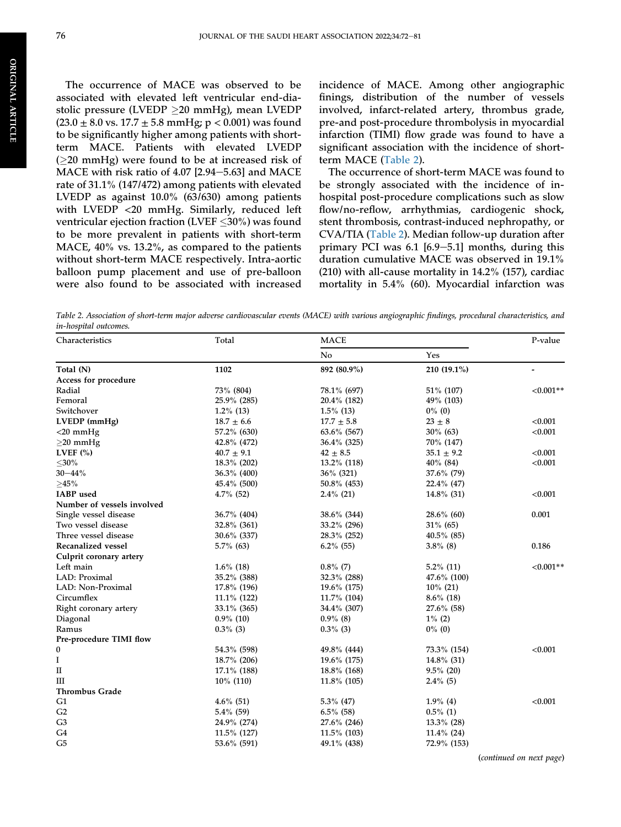ORIGINAL

**ORIGINAL ARTICLE** 

ARTICLE

The occurrence of MACE was observed to be associated with elevated left ventricular end-diastolic pressure (LVEDP  $\geq$ 20 mmHg), mean LVEDP  $(23.0 \pm 8.0 \text{ vs. } 17.7 \pm 5.8 \text{ mmHg}; p < 0.001)$  was found to be significantly higher among patients with shortterm MACE. Patients with elevated LVEDP  $(220 \text{ mmHg})$  were found to be at increased risk of MACE with risk ratio of  $4.07$  [2.94-5.63] and MACE rate of 31.1% (147/472) among patients with elevated LVEDP as against 10.0% (63/630) among patients with LVEDP <20 mmHg. Similarly, reduced left ventricular ejection fraction (LVEF  $\leq$ 30%) was found to be more prevalent in patients with short-term MACE, 40% vs. 13.2%, as compared to the patients without short-term MACE respectively. Intra-aortic balloon pump placement and use of pre-balloon were also found to be associated with increased

incidence of MACE. Among other angiographic finings, distribution of the number of vessels involved, infarct-related artery, thrombus grade, pre-and post-procedure thrombolysis in myocardial infarction (TIMI) flow grade was found to have a significant association with the incidence of shortterm MACE [\(Table 2\)](#page-6-0).

The occurrence of short-term MACE was found to be strongly associated with the incidence of inhospital post-procedure complications such as slow flow/no-reflow, arrhythmias, cardiogenic shock, stent thrombosis, contrast-induced nephropathy, or CVA/TIA ([Table 2](#page-6-0)). Median follow-up duration after primary PCI was  $6.1$  [6.9-5.1] months, during this duration cumulative MACE was observed in 19.1% (210) with all-cause mortality in 14.2% (157), cardiac mortality in 5.4% (60). Myocardial infarction was

<span id="page-6-0"></span>Table 2. Association of short-term major adverse cardiovascular events (MACE) with various angiographic findings, procedural characteristics, and in-hospital outcomes.

| Characteristics            | Total              | <b>MACE</b>    |                | P-value     |
|----------------------------|--------------------|----------------|----------------|-------------|
|                            |                    | No             | Yes            |             |
| Total (N)                  | 1102               | 892 (80.9%)    | 210 (19.1%)    |             |
| Access for procedure       |                    |                |                |             |
| Radial                     | 73% (804)          | 78.1% (697)    | 51% (107)      | $< 0.001**$ |
| Femoral                    | 25.9% (285)        | 20.4% (182)    | 49% (103)      |             |
| Switchover                 | $1.2\%$ (13)       | $1.5\%$ (13)   | $0\%$ (0)      |             |
| LVEDP (mmHg)               | $18.7$ $\pm$ $6.6$ | $17.7 \pm 5.8$ | $23 \pm 8$     | < 0.001     |
| $<$ 20 mmHg                | 57.2% (630)        | $63.6\%$ (567) | $30\%$ (63)    | < 0.001     |
| $\geq$ 20 mmHg             | 42.8% (472)        | 36.4% (325)    | 70% (147)      |             |
| LVEF $(\% )$               | $40.7 \pm 9.1$     | $42 \pm 8.5$   | $35.1 \pm 9.2$ | < 0.001     |
| $<$ 30%                    | 18.3% (202)        | 13.2% (118)    | $40\%$ (84)    | < 0.001     |
| $30 - 44%$                 | 36.3% (400)        | 36% (321)      | 37.6% (79)     |             |
| ${\geq}45\%$               | 45.4% (500)        | 50.8% (453)    | 22.4% (47)     |             |
| <b>IABP</b> used           | $4.7\%$ (52)       | $2.4\%$ (21)   | $14.8\%$ (31)  | < 0.001     |
| Number of vessels involved |                    |                |                |             |
| Single vessel disease      | 36.7% (404)        | 38.6% (344)    | $28.6\%$ (60)  | 0.001       |
| Two vessel disease         | 32.8% (361)        | 33.2% (296)    | $31\%$ (65)    |             |
| Three vessel disease       | $30.6\%$ (337)     | 28.3% (252)    | $40.5\%$ (85)  |             |
| Recanalized vessel         | $5.7\%$ (63)       | $6.2\%$ (55)   | $3.8\%$ (8)    | 0.186       |
| Culprit coronary artery    |                    |                |                |             |
| Left main                  | $1.6\%$ (18)       | $0.8\%$ (7)    | $5.2\%$ (11)   | $< 0.001**$ |
| LAD: Proximal              | 35.2% (388)        | $32.3\%$ (288) | $47.6\%$ (100) |             |
| LAD: Non-Proximal          | 17.8% (196)        | 19.6% (175)    | $10\%$ (21)    |             |
| Circumflex                 | $11.1\%$ (122)     | 11.7% (104)    | $8.6\%$ (18)   |             |
| Right coronary artery      | 33.1% (365)        | 34.4% (307)    | 27.6% (58)     |             |
| Diagonal                   | $0.9\%$ (10)       | $0.9\%$ (8)    | $1\%$ (2)      |             |
| Ramus                      | $0.3\%$ (3)        | $0.3\%$ (3)    | $0\%$ (0)      |             |
| Pre-procedure TIMI flow    |                    |                |                |             |
| 0                          | 54.3% (598)        | 49.8% (444)    | 73.3% (154)    | < 0.001     |
| I                          | 18.7% (206)        | 19.6% (175)    | $14.8\%$ (31)  |             |
| $\rm II$                   | 17.1% (188)        | 18.8% (168)    | $9.5\%$ (20)   |             |
| Ш                          | 10% (110)          | $11.8\%$ (105) | $2.4\%$ (5)    |             |
| <b>Thrombus Grade</b>      |                    |                |                |             |
| G1                         | $4.6\%$ (51)       | $5.3\%$ (47)   | $1.9\%$ (4)    | < 0.001     |
| G2                         | $5.4\%$ (59)       | $6.5\%$ (58)   | $0.5\%$ (1)    |             |
| G <sub>3</sub>             | 24.9% (274)        | $27.6\%$ (246) | $13.3\%$ (28)  |             |
| G <sub>4</sub>             | 11.5% (127)        | $11.5\%$ (103) | $11.4\%$ (24)  |             |
| G <sub>5</sub>             | 53.6% (591)        | 49.1% (438)    | 72.9% (153)    |             |
|                            |                    |                |                |             |

(continued on next page)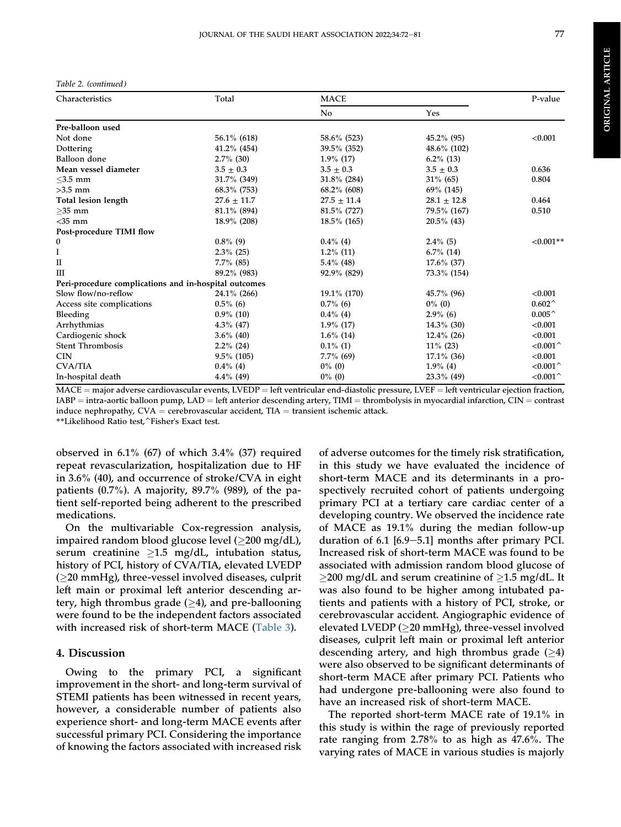Table 2. (continued )

| Characteristics                                       | Total           | <b>MACE</b>     |                 | P-value              |
|-------------------------------------------------------|-----------------|-----------------|-----------------|----------------------|
|                                                       |                 | N <sub>0</sub>  | Yes             |                      |
| Pre-balloon used                                      |                 |                 |                 |                      |
| Not done                                              | 56.1% (618)     | 58.6% (523)     | $45.2\%$ (95)   | < 0.001              |
| Dottering                                             | $41.2\%$ (454)  | 39.5% (352)     | $48.6\%$ (102)  |                      |
| Balloon done                                          | $2.7\%$ (30)    | $1.9\%$ (17)    | $6.2\%$ (13)    |                      |
| Mean vessel diameter                                  | $3.5 \pm 0.3$   | $3.5 \pm 0.3$   | $3.5 \pm 0.3$   | 0.636                |
| $<$ 3.5 mm                                            | 31.7% (349)     | $31.8\%$ (284)  | $31\%$ (65)     | 0.804                |
| $>3.5$ mm                                             | 68.3% (753)     | $68.2\%$ (608)  | 69% (145)       |                      |
| Total lesion length                                   | $27.6 \pm 11.7$ | $27.5 \pm 11.4$ | $28.1 \pm 12.8$ | 0.464                |
| $>35$ mm                                              | 81.1% (894)     | 81.5% (727)     | 79.5% (167)     | 0.510                |
| $<$ 35 mm                                             | 18.9% (208)     | 18.5% (165)     | $20.5\%$ (43)   |                      |
| Post-procedure TIMI flow                              |                 |                 |                 |                      |
| 0                                                     | $0.8\%$ (9)     | $0.4\%$ (4)     | $2.4\%$ (5)     | $< 0.001**$          |
| I                                                     | $2.3\%$ (25)    | $1.2\%$ (11)    | $6.7\%$ (14)    |                      |
| П                                                     | $7.7\%$ (85)    | $5.4\%$ (48)    | $17.6\%$ (37)   |                      |
| $\mathbf{m}$                                          | 89.2% (983)     | $92.9\%$ (829)  | 73.3% (154)     |                      |
| Peri-procedure complications and in-hospital outcomes |                 |                 |                 |                      |
| Slow flow/no-reflow                                   | 24.1% (266)     | 19.1% (170)     | 45.7% (96)      | < 0.001              |
| Access site complications                             | $0.5\%$ (6)     | $0.7\%$ (6)     | $0\%$ (0)       | $0.602^{\wedge}$     |
| Bleeding                                              | $0.9\%$ (10)    | $0.4\%$ (4)     | $2.9\%$ (6)     | $0.005^{\,\wedge}\,$ |
| Arrhythmias                                           | $4.3\%$ (47)    | $1.9\%$ (17)    | $14.3\%$ (30)   | < 0.001              |
| Cardiogenic shock                                     | $3.6\%$ (40)    | $1.6\%$ (14)    | $12.4\%$ (26)   | < 0.001              |
| <b>Stent Thrombosis</b>                               | $2.2\%$ (24)    | $0.1\%$ (1)     | $11\%$ (23)     | < 0.001              |
| <b>CIN</b>                                            | $9.5\%$ (105)   | $7.7\%$ (69)    | $17.1\%$ (36)   | < 0.001              |
| <b>CVA/TIA</b>                                        | $0.4\%$ (4)     | $0\%$ (0)       | $1.9\%$ (4)     | $< 0.001$ ^          |
| In-hospital death                                     | $4.4\%$ (49)    | $0\%$ (0)       | $23.3\%$ (49)   | $<$ 0.001 $\hat{ }$  |

 $MACE =$  major adverse cardiovascular events, LVEDP = left ventricular end-diastolic pressure, LVEF = left ventricular ejection fraction,  $IABP = intra-aortic balloon pump, LAD = left anterior descending artery, TIMI = through a**th** two objects in myocardial infarction, CIN = contrast$ induce nephropathy,  $CVA =$  cerebrovascular accident,  $TIA =$  transient ischemic attack. \*\*Likelihood Ratio test,^Fisher's Exact test.

observed in  $6.1\%$  (67) of which  $3.4\%$  (37) required repeat revascularization, hospitalization due to HF in 3.6% (40), and occurrence of stroke/CVA in eight patients  $(0.7\%)$ . A majority, 89.7% (989), of the patient self-reported being adherent to the prescribed medications.

On the multivariable Cox-regression analysis, impaired random blood glucose level  $(\geq 200 \text{ mg/dL})$ , serum creatinine  $\geq 1.5$  mg/dL, intubation status, history of PCI, history of CVA/TIA, elevated LVEDP  $(\geq 20 \text{ mmHg})$ , three-vessel involved diseases, culprit left main or proximal left anterior descending artery, high thrombus grade  $(\geq 4)$ , and pre-ballooning were found to be the independent factors associated with increased risk of short-term MACE [\(Table 3\)](#page-8-0).

#### 4. Discussion

Owing to the primary PCI, a significant improvement in the short- and long-term survival of STEMI patients has been witnessed in recent years, however, a considerable number of patients also experience short- and long-term MACE events after successful primary PCI. Considering the importance of knowing the factors associated with increased risk

of adverse outcomes for the timely risk stratification, in this study we have evaluated the incidence of short-term MACE and its determinants in a prospectively recruited cohort of patients undergoing primary PCI at a tertiary care cardiac center of a developing country. We observed the incidence rate of MACE as 19.1% during the median follow-up duration of  $6.1$   $[6.9-5.1]$  months after primary PCI. Increased risk of short-term MACE was found to be associated with admission random blood glucose of  $\geq$ 200 mg/dL and serum creatinine of  $\geq$ 1.5 mg/dL. It was also found to be higher among intubated patients and patients with a history of PCI, stroke, or cerebrovascular accident. Angiographic evidence of elevated LVEDP ( $\geq$ 20 mmHg), three-vessel involved diseases, culprit left main or proximal left anterior descending artery, and high thrombus grade  $(>4)$ were also observed to be significant determinants of short-term MACE after primary PCI. Patients who had undergone pre-ballooning were also found to have an increased risk of short-term MACE.

The reported short-term MACE rate of 19.1% in this study is within the rage of previously reported rate ranging from 2.78% to as high as 47.6%. The varying rates of MACE in various studies is majorly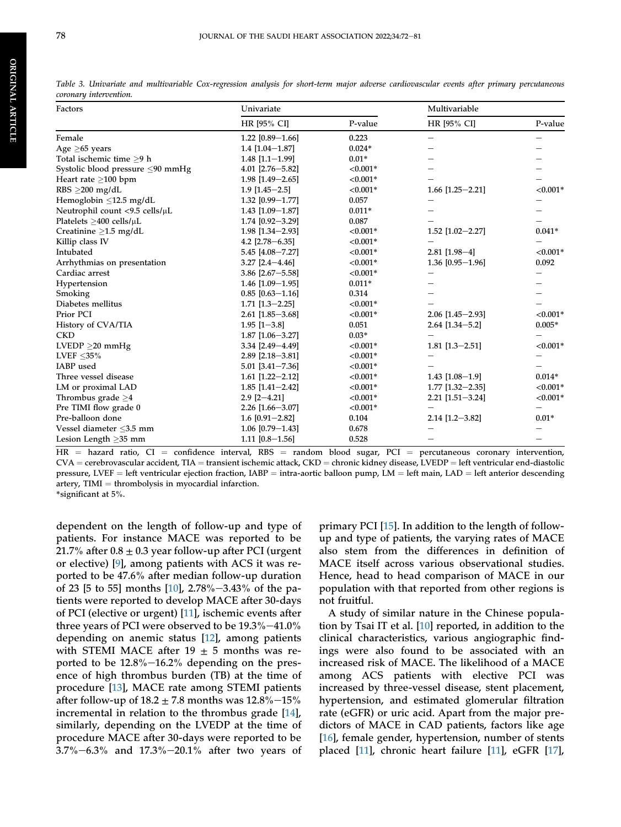| Factors                          | Univariate               | Multivariable |                    |             |
|----------------------------------|--------------------------|---------------|--------------------|-------------|
|                                  | HR [95% CI]              | P-value       | HR [95% CI]        | P-value     |
| Female                           | 1.22 $[0.89 - 1.66]$     | 0.223         | —                  |             |
| Age $\geq$ 65 years              | $1.4$ [1.04-1.87]        | $0.024*$      |                    |             |
| Total ischemic time >9 h         | $1.48$ [1.1-1.99]        | $0.01*$       |                    |             |
| Systolic blood pressure <90 mmHg | $4.01$ [2.76-5.82]       | $< 0.001*$    |                    |             |
| Heart rate $>100$ bpm            | $1.98$ [1.49-2.65]       | ${<}0.001*$   |                    |             |
| RBS $\geq$ 200 mg/dL             | $1.9$ [ $1.45 - 2.5$ ]   | $< 0.001*$    | $1.66$ [1.25-2.21] | ${<}0.001*$ |
| Hemoglobin $\leq$ 12.5 mg/dL     | 1.32 [0.99-1.77]         | 0.057         |                    |             |
| Neutrophil count <9.5 cells/µL   | $1.43$ [1.09-1.87]       | $0.011*$      |                    |             |
| Platelets $>400$ cells/ $\mu$ L  | $1.74$ [0.92-3.29]       | 0.087         |                    |             |
| Creatinine $>1.5$ mg/dL          | $1.98$ [1.34-2.93]       | $< 0.001*$    | 1.52 [1.02-2.27]   | $0.041*$    |
| Killip class IV                  | 4.2 $[2.78 - 6.35]$      | $< 0.001*$    |                    |             |
| Intubated                        | 5.45 [4.08-7.27]         | $< 0.001*$    | $2.81$ [1.98-4]    | ${<}0.001*$ |
| Arrhythmias on presentation      | $3.27$ [2.4-4.46]        | ${<}0.001*$   | $1.36$ [0.95-1.96] | 0.092       |
| Cardiac arrest                   | $3.86$ [2.67-5.58]       | $< 0.001*$    |                    |             |
| Hypertension                     | $1.46$ [1.09-1.95]       | $0.011*$      |                    |             |
| Smoking                          | $0.85$ [0.63-1.16]       | 0.314         |                    |             |
| Diabetes mellitus                | $1.71$ $[1.3 - 2.25]$    | $< 0.001*$    |                    |             |
| Prior PCI                        | $2.61$ [1.85-3.68]       | $< 0.001*$    | $2.06$ [1.45-2.93] | ${<}0.001*$ |
| History of CVA/TIA               | $1.95$ [1-3.8]           | 0.051         | $2.64$ [1.34-5.2]  | $0.005*$    |
| <b>CKD</b>                       | $1.87$ [1.06-3.27]       | $0.03*$       |                    |             |
| LVEDP > 20 mmHg                  | 3.34 [2.49-4.49]         | $< 0.001*$    | $1.81$ [1.3-2.51]  | $< 0.001*$  |
| LVEF $<$ 35%                     | $2.89$ [ $2.18 - 3.81$ ] | ${<}0.001*$   |                    |             |
| IABP used                        | $5.01$ [3.41-7.36]       | ${<}0.001*$   |                    |             |
| Three vessel disease             | $1.61$ [1.22-2.12]       | $< 0.001*$    | $1.43$ [1.08-1.9]  | $0.014*$    |
| LM or proximal LAD               | $1.85$ [1.41-2.42]       | ${<}0.001*$   | $1.77$ [1.32-2.35] | ${<}0.001*$ |
| Thrombus grade $\geq$ 4          | $2.9$ [2-4.21]           | $< 0.001*$    | $2.21$ [1.51-3.24] | ${<}0.001*$ |
| Pre TIMI flow grade 0            | $2.26$ [1.66-3.07]       | ${<}0.001*$   |                    |             |
| Pre-balloon done                 | $1.6$ [0.91-2.82]        | 0.104         | $2.14$ [1.2-3.82]  | $0.01*$     |
| Vessel diameter <3.5 mm          | $1.06$ [0.79-1.43]       | 0.678         |                    |             |
| Lesion Length $>35$ mm           | $1.11$ $[0.8 - 1.56]$    | 0.528         |                    |             |

<span id="page-8-0"></span>Table 3. Univariate and multivariable Cox-regression analysis for short-term major adverse cardiovascular events after primary percutaneous coronary intervention.

 $HR =$  hazard ratio,  $CI =$  confidence interval, RBS = random blood sugar, PCI = percutaneous coronary intervention,  $CVA =$  cerebrovascular accident, TIA = transient ischemic attack,  $CKD =$  chronic kidney disease, LVEDP = left ventricular end-diastolic pressure, LVEF = left ventricular ejection fraction, IABP = intra-aortic balloon pump, LM = left main, LAD = left anterior descending artery,  $TIMI =$  thrombolysis in myocardial infarction. \*significant at 5%.

dependent on the length of follow-up and type of patients. For instance MACE was reported to be 21.7% after  $0.8 \pm 0.3$  year follow-up after PCI (urgent or elective) [[9\]](#page-10-8), among patients with ACS it was reported to be 47.6% after median follow-up duration of 23 [5 to 55] months [\[10](#page-11-0)], 2.78%-3.43% of the patients were reported to develop MACE after 30-days of PCI (elective or urgent) [\[11](#page-11-1)], ischemic events after three years of PCI were observed to be  $19.3\% - 41.0\%$ depending on anemic status [\[12](#page-11-2)], among patients with STEMI MACE after 19  $\pm$  5 months was reported to be  $12.8\%$  -16.2% depending on the presence of high thrombus burden (TB) at the time of procedure [\[13](#page-11-3)], MACE rate among STEMI patients after follow-up of  $18.2 \pm 7.8$  months was  $12.8\%$  -15% incremental in relation to the thrombus grade [\[14](#page-11-4)], similarly, depending on the LVEDP at the time of procedure MACE after 30-days were reported to be  $3.7\% - 6.3\%$  and  $17.3\% - 20.1\%$  after two years of primary PCI [[15\]](#page-11-5). In addition to the length of followup and type of patients, the varying rates of MACE also stem from the differences in definition of MACE itself across various observational studies. Hence, head to head comparison of MACE in our population with that reported from other regions is not fruitful.

A study of similar nature in the Chinese population by Tsai IT et al. [[10](#page-11-0)] reported, in addition to the clinical characteristics, various angiographic findings were also found to be associated with an increased risk of MACE. The likelihood of a MACE among ACS patients with elective PCI was increased by three-vessel disease, stent placement, hypertension, and estimated glomerular filtration rate (eGFR) or uric acid. Apart from the major predictors of MACE in CAD patients, factors like age [\[16](#page-11-6)], female gender, hypertension, number of stents placed [\[11](#page-11-1)], chronic heart failure [[11\]](#page-11-1), eGFR [[17\]](#page-11-7),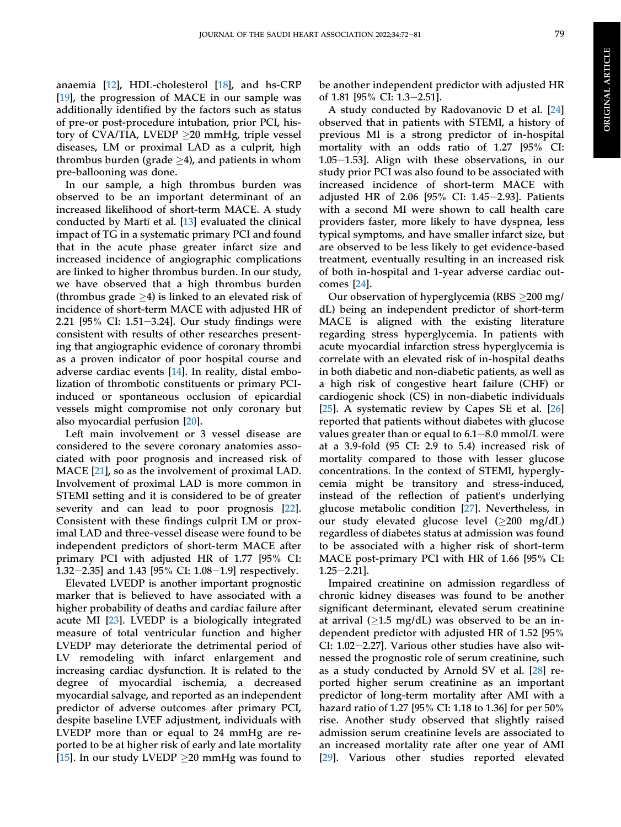anaemia [[12\]](#page-11-2), HDL-cholesterol [\[18](#page-11-8)], and hs-CRP [\[19](#page-11-9)], the progression of MACE in our sample was additionally identified by the factors such as status of pre-or post-procedure intubation, prior PCI, history of CVA/TIA, LVEDP  $\geq$ 20 mmHg, triple vessel diseases, LM or proximal LAD as a culprit, high thrombus burden (grade  $\geq$ 4), and patients in whom pre-ballooning was done.

In our sample, a high thrombus burden was observed to be an important determinant of an increased likelihood of short-term MACE. A study conducted by Martí et al. [[13\]](#page-11-3) evaluated the clinical impact of TG in a systematic primary PCI and found that in the acute phase greater infarct size and increased incidence of angiographic complications are linked to higher thrombus burden. In our study, we have observed that a high thrombus burden (thrombus grade  $\geq$ 4) is linked to an elevated risk of incidence of short-term MACE with adjusted HR of 2.21  $[95\%$  CI: 1.51-3.24]. Our study findings were consistent with results of other researches presenting that angiographic evidence of coronary thrombi as a proven indicator of poor hospital course and adverse cardiac events [\[14](#page-11-4)]. In reality, distal embolization of thrombotic constituents or primary PCIinduced or spontaneous occlusion of epicardial vessels might compromise not only coronary but also myocardial perfusion [[20\]](#page-11-10).

Left main involvement or 3 vessel disease are considered to the severe coronary anatomies associated with poor prognosis and increased risk of MACE [[21\]](#page-11-11), so as the involvement of proximal LAD. Involvement of proximal LAD is more common in STEMI setting and it is considered to be of greater severity and can lead to poor prognosis [\[22](#page-11-12)]. Consistent with these findings culprit LM or proximal LAD and three-vessel disease were found to be independent predictors of short-term MACE after primary PCI with adjusted HR of 1.77 [95% CI: 1.32–2.35] and 1.43 [95% CI:  $1.08-1.9$ ] respectively.

Elevated LVEDP is another important prognostic marker that is believed to have associated with a higher probability of deaths and cardiac failure after acute MI [\[23](#page-11-13)]. LVEDP is a biologically integrated measure of total ventricular function and higher LVEDP may deteriorate the detrimental period of LV remodeling with infarct enlargement and increasing cardiac dysfunction. It is related to the degree of myocardial ischemia, a decreased myocardial salvage, and reported as an independent predictor of adverse outcomes after primary PCI, despite baseline LVEF adjustment, individuals with LVEDP more than or equal to 24 mmHg are reported to be at higher risk of early and late mortality [\[15](#page-11-5)]. In our study LVEDP  $\geq$ 20 mmHg was found to

be another independent predictor with adjusted HR of 1.81 [95% CI: 1.3-2.51].

A study conducted by Radovanovic D et al. [\[24](#page-11-14)] observed that in patients with STEMI, a history of previous MI is a strong predictor of in-hospital mortality with an odds ratio of 1.27 [95% CI: 1.05 $-1.53$ ]. Align with these observations, in our study prior PCI was also found to be associated with increased incidence of short-term MACE with adjusted HR of 2.06 [95% CI: 1.45-2.93]. Patients with a second MI were shown to call health care providers faster, more likely to have dyspnea, less typical symptoms, and have smaller infarct size, but are observed to be less likely to get evidence-based treatment, eventually resulting in an increased risk of both in-hospital and 1-year adverse cardiac outcomes [\[24](#page-11-14)].

Our observation of hyperglycemia (RBS  $\geq$ 200 mg/ dL) being an independent predictor of short-term MACE is aligned with the existing literature regarding stress hyperglycemia. In patients with acute myocardial infarction stress hyperglycemia is correlate with an elevated risk of in-hospital deaths in both diabetic and non-diabetic patients, as well as a high risk of congestive heart failure (CHF) or cardiogenic shock (CS) in non-diabetic individuals [\[25](#page-11-15)]. A systematic review by Capes SE et al. [\[26](#page-11-16)] reported that patients without diabetes with glucose values greater than or equal to  $6.1-8.0$  mmol/L were at a 3.9-fold (95 CI: 2.9 to 5.4) increased risk of mortality compared to those with lesser glucose concentrations. In the context of STEMI, hyperglycemia might be transitory and stress-induced, instead of the reflection of patient's underlying glucose metabolic condition [\[27](#page-11-17)]. Nevertheless, in our study elevated glucose level  $(\geq 200 \text{ mg/dL})$ regardless of diabetes status at admission was found to be associated with a higher risk of short-term MACE post-primary PCI with HR of 1.66 [95% CI:  $1.25 - 2.21$ ].

Impaired creatinine on admission regardless of chronic kidney diseases was found to be another significant determinant, elevated serum creatinine at arrival  $(≥1.5 \text{ mg/dL})$  was observed to be an independent predictor with adjusted HR of 1.52 [95% CI:  $1.02-2.27$ ]. Various other studies have also witnessed the prognostic role of serum creatinine, such as a study conducted by Arnold SV et al. [[28\]](#page-11-18) reported higher serum creatinine as an important predictor of long-term mortality after AMI with a hazard ratio of 1.27 [95% CI: 1.18 to 1.36] for per 50% rise. Another study observed that slightly raised admission serum creatinine levels are associated to an increased mortality rate after one year of AMI [\[29](#page-11-19)]. Various other studies reported elevated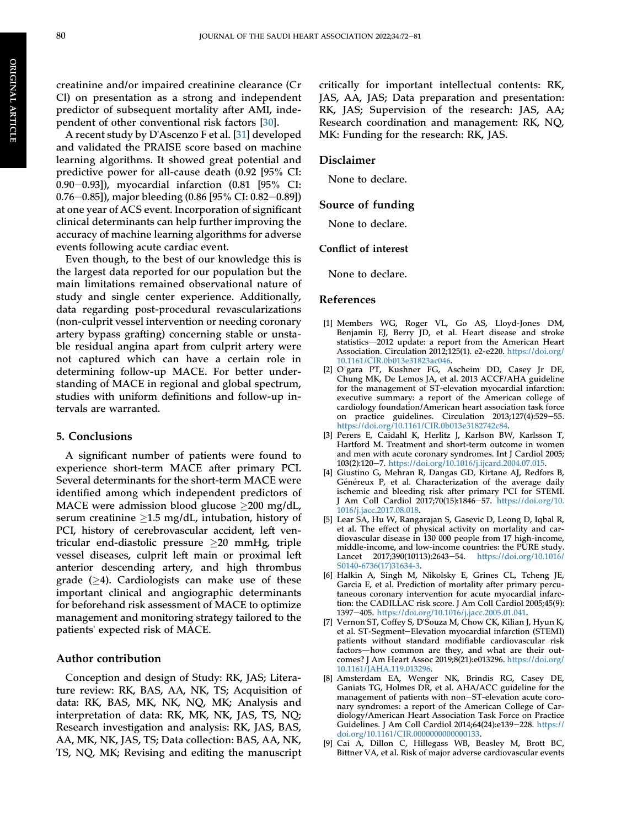creatinine and/or impaired creatinine clearance (Cr Cl) on presentation as a strong and independent predictor of subsequent mortality after AMI, independent of other conventional risk factors [\[30](#page-11-20)].

A recent study by D'Ascenzo F et al. [[31\]](#page-11-21) developed and validated the PRAISE score based on machine learning algorithms. It showed great potential and predictive power for all-cause death (0.92 [95% CI: 0.90–0.93]), myocardial infarction  $(0.81 \; [95\% \; CI:$ 0.76–0.85]), major bleeding (0.86 [95% CI: 0.82–0.89]) at one year of ACS event. Incorporation of significant clinical determinants can help further improving the accuracy of machine learning algorithms for adverse events following acute cardiac event.

Even though, to the best of our knowledge this is the largest data reported for our population but the main limitations remained observational nature of study and single center experience. Additionally, data regarding post-procedural revascularizations (non-culprit vessel intervention or needing coronary artery bypass grafting) concerning stable or unstable residual angina apart from culprit artery were not captured which can have a certain role in determining follow-up MACE. For better understanding of MACE in regional and global spectrum, studies with uniform definitions and follow-up intervals are warranted.

#### 5. Conclusions

A significant number of patients were found to experience short-term MACE after primary PCI. Several determinants for the short-term MACE were identified among which independent predictors of MACE were admission blood glucose  $\geq$ 200 mg/dL, serum creatinine  $\geq 1.5$  mg/dL, intubation, history of PCI, history of cerebrovascular accident, left ventricular end-diastolic pressure  $\geq 20$  mmHg, triple vessel diseases, culprit left main or proximal left anterior descending artery, and high thrombus grade  $(\geq 4)$ . Cardiologists can make use of these important clinical and angiographic determinants for beforehand risk assessment of MACE to optimize management and monitoring strategy tailored to the patients' expected risk of MACE.

#### Author contribution

Conception and design of Study: RK, JAS; Literature review: RK, BAS, AA, NK, TS; Acquisition of data: RK, BAS, MK, NK, NQ, MK; Analysis and interpretation of data: RK, MK, NK, JAS, TS, NQ; Research investigation and analysis: RK, JAS, BAS, AA, MK, NK, JAS, TS; Data collection: BAS, AA, NK, TS, NQ, MK; Revising and editing the manuscript

critically for important intellectual contents: RK, JAS, AA, JAS; Data preparation and presentation: RK, JAS; Supervision of the research: JAS, AA; Research coordination and management: RK, NQ, MK: Funding for the research: RK, JAS.

#### Disclaimer

None to declare.

#### Source of funding

None to declare.

#### Conflict of interest

None to declare.

#### References

- <span id="page-10-0"></span>[1] Members WG, Roger VL, Go AS, Lloyd-Jones DM, Benjamin EJ, Berry JD, et al. Heart disease and stroke statistics-2012 update: a report from the American Heart Association. Circulation 2012;125(1). e2-e220. [https://doi.org/](https://doi.org/10.1161/CIR.0b013e31823ac046) [10.1161/CIR.0b013e31823ac046](https://doi.org/10.1161/CIR.0b013e31823ac046).
- <span id="page-10-1"></span>[2] O'gara PT, Kushner FG, Ascheim DD, Casey Jr DE, Chung MK, De Lemos JA, et al. 2013 ACCF/AHA guideline for the management of ST-elevation myocardial infarction: executive summary: a report of the American college of cardiology foundation/American heart association task force on practice guidelines. Circulation 2013;127(4):529-55. [https://doi.org/10.1161/CIR.0b013e3182742c84.](https://doi.org/10.1161/CIR.0b013e3182742c84)
- <span id="page-10-2"></span>[3] Perers E, Caidahl K, Herlitz J, Karlson BW, Karlsson T, Hartford M. Treatment and short-term outcome in women and men with acute coronary syndromes. Int J Cardiol 2005; 103(2):120-7. [https://doi.org/10.1016/j.ijcard.2004.07.015.](https://doi.org/10.1016/j.ijcard.2004.07.015)
- <span id="page-10-3"></span>[4] Giustino G, Mehran R, Dangas GD, Kirtane AJ, Redfors B, Généreux P, et al. Characterization of the average daily ischemic and bleeding risk after primary PCI for STEMI. J Am Coll Cardiol 2017;70(15):1846-57. [https://doi.org/10.](https://doi.org/10.1016/j.jacc.2017.08.018) [1016/j.jacc.2017.08.018](https://doi.org/10.1016/j.jacc.2017.08.018).
- <span id="page-10-4"></span>[5] Lear SA, Hu W, Rangarajan S, Gasevic D, Leong D, Iqbal R, et al. The effect of physical activity on mortality and cardiovascular disease in 130 000 people from 17 high-income, middle-income, and low-income countries: the PURE study. Lancet 2017;390(10113):2643-54. [https://doi.org/10.1016/](https://doi.org/10.1016/S0140-6736(17)31634-3) [S0140-6736\(17\)31634-3.](https://doi.org/10.1016/S0140-6736(17)31634-3)
- <span id="page-10-5"></span>[6] Halkin A, Singh M, Nikolsky E, Grines CL, Tcheng JE, Garcia E, et al. Prediction of mortality after primary percutaneous coronary intervention for acute myocardial infarction: the CADILLAC risk score. J Am Coll Cardiol 2005;45(9): 1397-405. [https://doi.org/10.1016/j.jacc.2005.01.041.](https://doi.org/10.1016/j.jacc.2005.01.041)
- <span id="page-10-6"></span>[7] Vernon ST, Coffey S, D'Souza M, Chow CK, Kilian J, Hyun K, et al. ST-Segment-Elevation myocardial infarction (STEMI) patients without standard modifiable cardiovascular risk factors-how common are they, and what are their outcomes? J Am Heart Assoc 2019;8(21):e013296. [https://doi.org/](https://doi.org/10.1161/JAHA.119.013296) [10.1161/JAHA.119.013296](https://doi.org/10.1161/JAHA.119.013296).
- <span id="page-10-7"></span>[8] Amsterdam EA, Wenger NK, Brindis RG, Casey DE, Ganiats TG, Holmes DR, et al. AHA/ACC guideline for the management of patients with non-ST-elevation acute coronary syndromes: a report of the American College of Cardiology/American Heart Association Task Force on Practice Guidelines. J Am Coll Cardiol 2014;64(24):e139-228. [https://](https://doi.org/10.1161/CIR.0000000000000133) [doi.org/10.1161/CIR.0000000000000133](https://doi.org/10.1161/CIR.0000000000000133).
- <span id="page-10-8"></span>Cai A, Dillon C, Hillegass WB, Beasley M, Brott BC, Bittner VA, et al. Risk of major adverse cardiovascular events